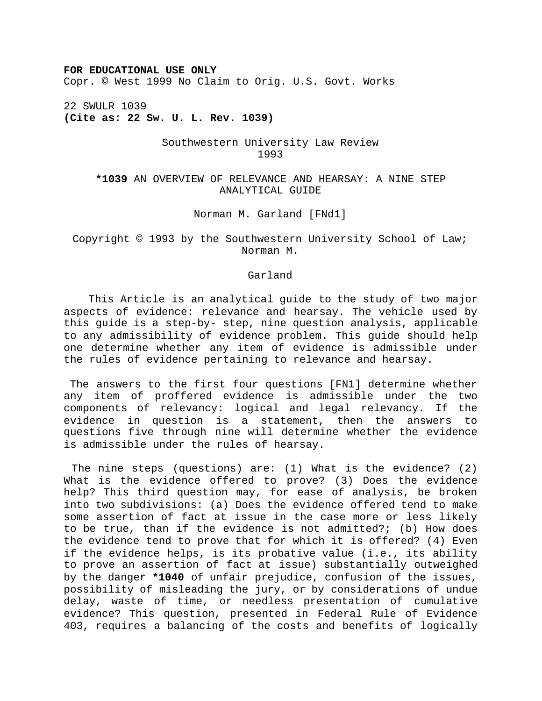**FOR EDUCATIONAL USE ONLY** Copr. © West 1999 No Claim to Orig. U.S. Govt. Works

22 SWULR 1039 **(Cite as: 22 Sw. U. L. Rev. 1039)**

## Southwestern University Law Review 1993

**\*1039** AN OVERVIEW OF RELEVANCE AND HEARSAY: A NINE STEP ANALYTICAL GUIDE

Norman M. Garland [FNd1]

# Copyright © 1993 by the Southwestern University School of Law; Norman M.

#### Garland

This Article is an analytical guide to the study of two major aspects of evidence: relevance and hearsay. The vehicle used by this guide is a step-by- step, nine question analysis, applicable to any admissibility of evidence problem. This guide should help one determine whether any item of evidence is admissible under the rules of evidence pertaining to relevance and hearsay.

The answers to the first four questions [FN1] determine whether any item of proffered evidence is admissible under the two components of relevancy: logical and legal relevancy. If the evidence in question is a statement, then the answers to questions five through nine will determine whether the evidence is admissible under the rules of hearsay.

The nine steps (questions) are: (1) What is the evidence? (2) What is the evidence offered to prove? (3) Does the evidence help? This third question may, for ease of analysis, be broken into two subdivisions: (a) Does the evidence offered tend to make some assertion of fact at issue in the case more or less likely to be true, than if the evidence is not admitted?; (b) How does the evidence tend to prove that for which it is offered? (4) Even if the evidence helps, is its probative value (i.e., its ability to prove an assertion of fact at issue) substantially outweighed by the danger **\*1040** of unfair prejudice, confusion of the issues, possibility of misleading the jury, or by considerations of undue delay, waste of time, or needless presentation of cumulative evidence? This question, presented in Federal Rule of Evidence 403, requires a balancing of the costs and benefits of logically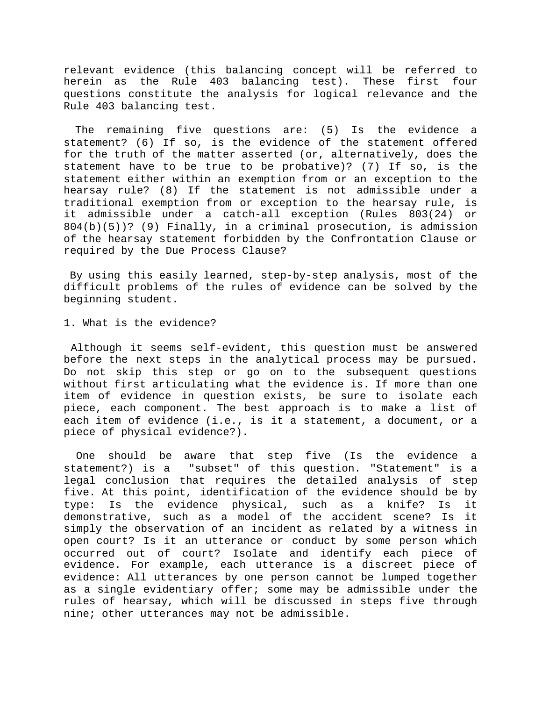relevant evidence (this balancing concept will be referred to herein as the Rule 403 balancing test). These first four questions constitute the analysis for logical relevance and the Rule 403 balancing test.

The remaining five questions are: (5) Is the evidence a statement? (6) If so, is the evidence of the statement offered for the truth of the matter asserted (or, alternatively, does the statement have to be true to be probative)? (7) If so, is the statement either within an exemption from or an exception to the hearsay rule? (8) If the statement is not admissible under a traditional exemption from or exception to the hearsay rule, is it admissible under a catch-all exception (Rules 803(24) or 804(b)(5))? (9) Finally, in a criminal prosecution, is admission of the hearsay statement forbidden by the Confrontation Clause or required by the Due Process Clause?

By using this easily learned, step-by-step analysis, most of the difficult problems of the rules of evidence can be solved by the beginning student.

1. What is the evidence?

Although it seems self-evident, this question must be answered before the next steps in the analytical process may be pursued. Do not skip this step or go on to the subsequent questions without first articulating what the evidence is. If more than one item of evidence in question exists, be sure to isolate each piece, each component. The best approach is to make a list of each item of evidence (i.e., is it a statement, a document, or a piece of physical evidence?).

One should be aware that step five (Is the evidence a statement?) is a "subset" of this question. "Statement" is a legal conclusion that requires the detailed analysis of step five. At this point, identification of the evidence should be by type: Is the evidence physical, such as a knife? Is it demonstrative, such as a model of the accident scene? Is it simply the observation of an incident as related by a witness in open court? Is it an utterance or conduct by some person which occurred out of court? Isolate and identify each piece of evidence. For example, each utterance is a discreet piece of evidence: All utterances by one person cannot be lumped together as a single evidentiary offer; some may be admissible under the rules of hearsay, which will be discussed in steps five through nine; other utterances may not be admissible.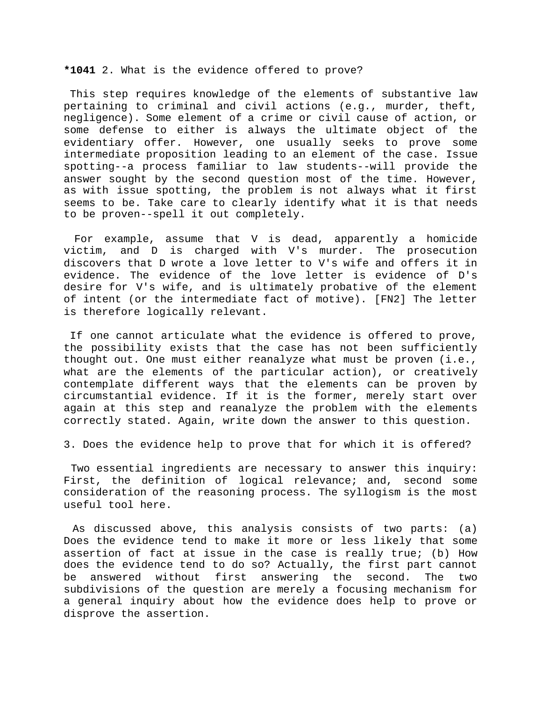**\*1041** 2. What is the evidence offered to prove?

This step requires knowledge of the elements of substantive law pertaining to criminal and civil actions (e.g., murder, theft, negligence). Some element of a crime or civil cause of action, or some defense to either is always the ultimate object of the evidentiary offer. However, one usually seeks to prove some intermediate proposition leading to an element of the case. Issue spotting--a process familiar to law students--will provide the answer sought by the second question most of the time. However, as with issue spotting, the problem is not always what it first seems to be. Take care to clearly identify what it is that needs to be proven--spell it out completely.

For example, assume that V is dead, apparently a homicide victim, and D is charged with V's murder. The prosecution discovers that D wrote a love letter to V's wife and offers it in evidence. The evidence of the love letter is evidence of D's desire for V's wife, and is ultimately probative of the element of intent (or the intermediate fact of motive). [FN2] The letter is therefore logically relevant.

If one cannot articulate what the evidence is offered to prove, the possibility exists that the case has not been sufficiently thought out. One must either reanalyze what must be proven (i.e., what are the elements of the particular action), or creatively contemplate different ways that the elements can be proven by circumstantial evidence. If it is the former, merely start over again at this step and reanalyze the problem with the elements correctly stated. Again, write down the answer to this question.

3. Does the evidence help to prove that for which it is offered?

Two essential ingredients are necessary to answer this inquiry: First, the definition of logical relevance; and, second some consideration of the reasoning process. The syllogism is the most useful tool here.

As discussed above, this analysis consists of two parts: (a) Does the evidence tend to make it more or less likely that some assertion of fact at issue in the case is really true; (b) How does the evidence tend to do so? Actually, the first part cannot be answered without first answering the second. The two subdivisions of the question are merely a focusing mechanism for a general inquiry about how the evidence does help to prove or disprove the assertion.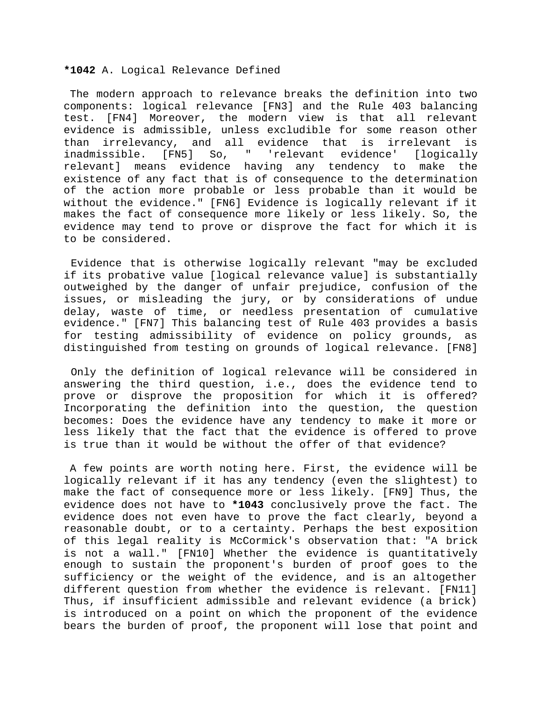## **\*1042** A. Logical Relevance Defined

The modern approach to relevance breaks the definition into two components: logical relevance [FN3] and the Rule 403 balancing test. [FN4] Moreover, the modern view is that all relevant evidence is admissible, unless excludible for some reason other than irrelevancy, and all evidence that is irrelevant is inadmissible. [FN5] So, " 'relevant evidence' [logically relevant] means evidence having any tendency to make the existence of any fact that is of consequence to the determination of the action more probable or less probable than it would be without the evidence." [FN6] Evidence is logically relevant if it makes the fact of consequence more likely or less likely. So, the evidence may tend to prove or disprove the fact for which it is to be considered.

Evidence that is otherwise logically relevant "may be excluded if its probative value [logical relevance value] is substantially outweighed by the danger of unfair prejudice, confusion of the issues, or misleading the jury, or by considerations of undue delay, waste of time, or needless presentation of cumulative evidence." [FN7] This balancing test of Rule 403 provides a basis for testing admissibility of evidence on policy grounds, as distinguished from testing on grounds of logical relevance. [FN8]

Only the definition of logical relevance will be considered in answering the third question, i.e., does the evidence tend to prove or disprove the proposition for which it is offered? Incorporating the definition into the question, the question becomes: Does the evidence have any tendency to make it more or less likely that the fact that the evidence is offered to prove is true than it would be without the offer of that evidence?

A few points are worth noting here. First, the evidence will be logically relevant if it has any tendency (even the slightest) to make the fact of consequence more or less likely. [FN9] Thus, the evidence does not have to **\*1043** conclusively prove the fact. The evidence does not even have to prove the fact clearly, beyond a reasonable doubt, or to a certainty. Perhaps the best exposition of this legal reality is McCormick's observation that: "A brick is not a wall." [FN10] Whether the evidence is quantitatively enough to sustain the proponent's burden of proof goes to the sufficiency or the weight of the evidence, and is an altogether different question from whether the evidence is relevant. [FN11] Thus, if insufficient admissible and relevant evidence (a brick) is introduced on a point on which the proponent of the evidence bears the burden of proof, the proponent will lose that point and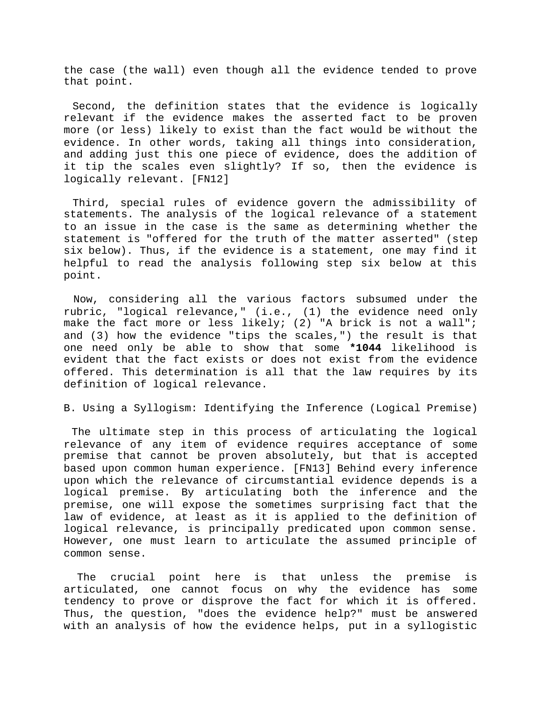the case (the wall) even though all the evidence tended to prove that point.

Second, the definition states that the evidence is logically relevant if the evidence makes the asserted fact to be proven more (or less) likely to exist than the fact would be without the evidence. In other words, taking all things into consideration, and adding just this one piece of evidence, does the addition of it tip the scales even slightly? If so, then the evidence is logically relevant. [FN12]

Third, special rules of evidence govern the admissibility of statements. The analysis of the logical relevance of a statement to an issue in the case is the same as determining whether the statement is "offered for the truth of the matter asserted" (step six below). Thus, if the evidence is a statement, one may find it helpful to read the analysis following step six below at this point.

Now, considering all the various factors subsumed under the rubric, "logical relevance," (i.e., (1) the evidence need only make the fact more or less likely; (2) "A brick is not a wall"; and (3) how the evidence "tips the scales,") the result is that one need only be able to show that some **\*1044** likelihood is evident that the fact exists or does not exist from the evidence offered. This determination is all that the law requires by its definition of logical relevance.

B. Using a Syllogism: Identifying the Inference (Logical Premise)

The ultimate step in this process of articulating the logical relevance of any item of evidence requires acceptance of some premise that cannot be proven absolutely, but that is accepted based upon common human experience. [FN13] Behind every inference upon which the relevance of circumstantial evidence depends is a logical premise. By articulating both the inference and the premise, one will expose the sometimes surprising fact that the law of evidence, at least as it is applied to the definition of logical relevance, is principally predicated upon common sense. However, one must learn to articulate the assumed principle of common sense.

The crucial point here is that unless the premise is articulated, one cannot focus on why the evidence has some tendency to prove or disprove the fact for which it is offered. Thus, the question, "does the evidence help?" must be answered with an analysis of how the evidence helps, put in a syllogistic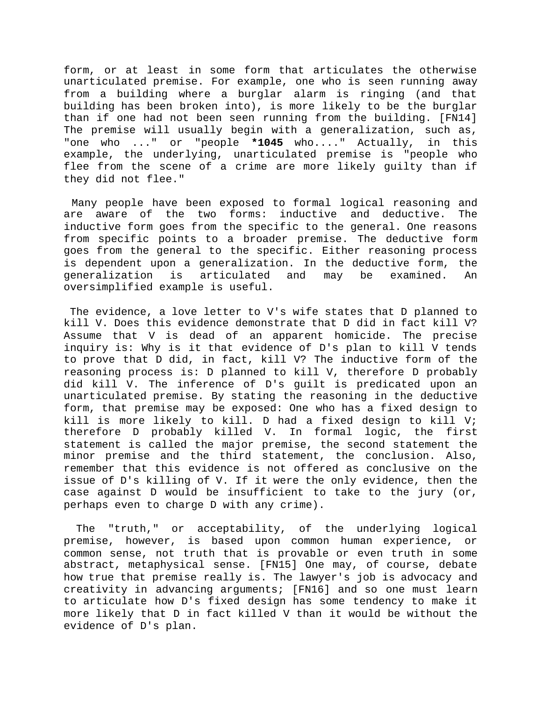form, or at least in some form that articulates the otherwise unarticulated premise. For example, one who is seen running away from a building where a burglar alarm is ringing (and that building has been broken into), is more likely to be the burglar than if one had not been seen running from the building. [FN14] The premise will usually begin with a generalization, such as, "one who ..." or "people **\*1045** who...." Actually, in this example, the underlying, unarticulated premise is "people who flee from the scene of a crime are more likely guilty than if they did not flee."

Many people have been exposed to formal logical reasoning and are aware of the two forms: inductive and deductive. The inductive form goes from the specific to the general. One reasons from specific points to a broader premise. The deductive form goes from the general to the specific. Either reasoning process is dependent upon a generalization. In the deductive form, the generalization is articulated and may be examined. An oversimplified example is useful.

The evidence, a love letter to V's wife states that D planned to kill V. Does this evidence demonstrate that D did in fact kill V? Assume that V is dead of an apparent homicide. The precise inquiry is: Why is it that evidence of D's plan to kill V tends to prove that D did, in fact, kill V? The inductive form of the reasoning process is: D planned to kill V, therefore D probably did kill V. The inference of D's guilt is predicated upon an unarticulated premise. By stating the reasoning in the deductive form, that premise may be exposed: One who has a fixed design to kill is more likely to kill. D had a fixed design to kill V; therefore D probably killed V. In formal logic, the first statement is called the major premise, the second statement the minor premise and the third statement, the conclusion. Also, remember that this evidence is not offered as conclusive on the issue of D's killing of V. If it were the only evidence, then the case against D would be insufficient to take to the jury (or, perhaps even to charge D with any crime).

The "truth," or acceptability, of the underlying logical premise, however, is based upon common human experience, or common sense, not truth that is provable or even truth in some abstract, metaphysical sense. [FN15] One may, of course, debate how true that premise really is. The lawyer's job is advocacy and creativity in advancing arguments; [FN16] and so one must learn to articulate how D's fixed design has some tendency to make it more likely that D in fact killed V than it would be without the evidence of D's plan.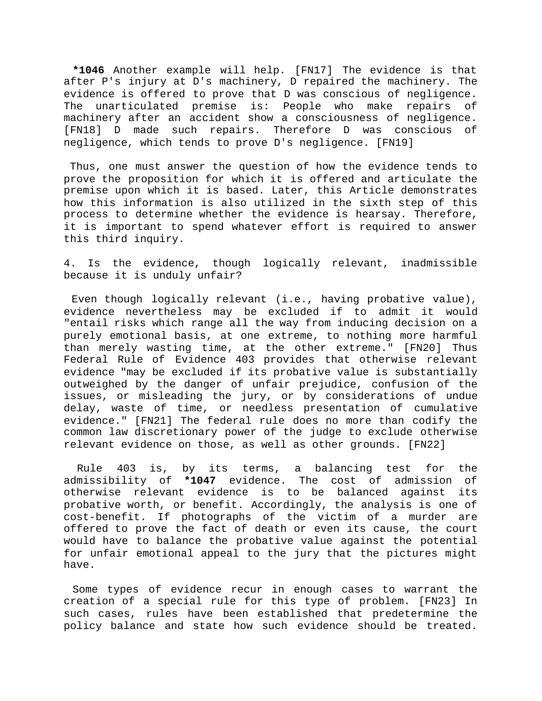**\*1046** Another example will help. [FN17] The evidence is that after P's injury at D's machinery, D repaired the machinery. The evidence is offered to prove that D was conscious of negligence. The unarticulated premise is: People who make repairs of machinery after an accident show a consciousness of negligence. [FN18] D made such repairs. Therefore D was conscious of negligence, which tends to prove D's negligence. [FN19]

Thus, one must answer the question of how the evidence tends to prove the proposition for which it is offered and articulate the premise upon which it is based. Later, this Article demonstrates how this information is also utilized in the sixth step of this process to determine whether the evidence is hearsay. Therefore, it is important to spend whatever effort is required to answer this third inquiry.

4. Is the evidence, though logically relevant, inadmissible because it is unduly unfair?

Even though logically relevant (i.e., having probative value), evidence nevertheless may be excluded if to admit it would "entail risks which range all the way from inducing decision on a purely emotional basis, at one extreme, to nothing more harmful than merely wasting time, at the other extreme." [FN20] Thus Federal Rule of Evidence 403 provides that otherwise relevant evidence "may be excluded if its probative value is substantially outweighed by the danger of unfair prejudice, confusion of the issues, or misleading the jury, or by considerations of undue delay, waste of time, or needless presentation of cumulative evidence." [FN21] The federal rule does no more than codify the common law discretionary power of the judge to exclude otherwise relevant evidence on those, as well as other grounds. [FN22]

Rule 403 is, by its terms, a balancing test for the admissibility of **\*1047** evidence. The cost of admission of otherwise relevant evidence is to be balanced against its probative worth, or benefit. Accordingly, the analysis is one of cost-benefit. If photographs of the victim of a murder are offered to prove the fact of death or even its cause, the court would have to balance the probative value against the potential for unfair emotional appeal to the jury that the pictures might have.

Some types of evidence recur in enough cases to warrant the creation of a special rule for this type of problem. [FN23] In such cases, rules have been established that predetermine the policy balance and state how such evidence should be treated.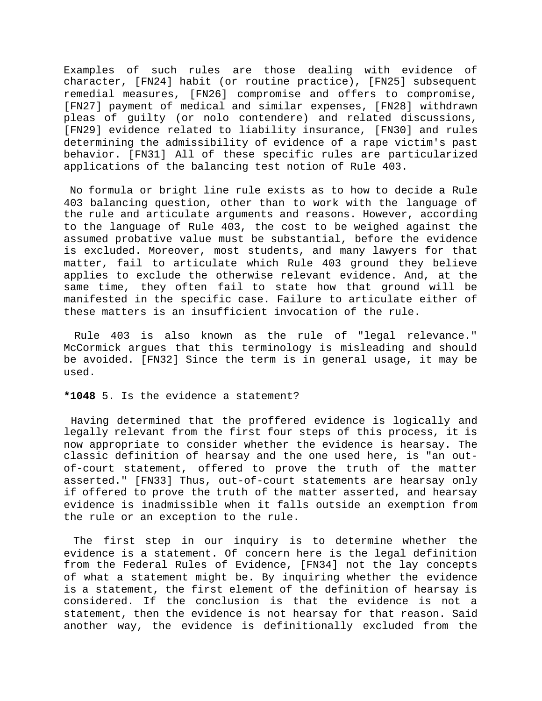Examples of such rules are those dealing with evidence of character, [FN24] habit (or routine practice), [FN25] subsequent remedial measures, [FN26] compromise and offers to compromise, [FN27] payment of medical and similar expenses, [FN28] withdrawn pleas of guilty (or nolo contendere) and related discussions, [FN29] evidence related to liability insurance, [FN30] and rules determining the admissibility of evidence of a rape victim's past behavior. [FN31] All of these specific rules are particularized applications of the balancing test notion of Rule 403.

No formula or bright line rule exists as to how to decide a Rule 403 balancing question, other than to work with the language of the rule and articulate arguments and reasons. However, according to the language of Rule 403, the cost to be weighed against the assumed probative value must be substantial, before the evidence is excluded. Moreover, most students, and many lawyers for that matter, fail to articulate which Rule 403 ground they believe applies to exclude the otherwise relevant evidence. And, at the same time, they often fail to state how that ground will be manifested in the specific case. Failure to articulate either of these matters is an insufficient invocation of the rule.

Rule 403 is also known as the rule of "legal relevance." McCormick argues that this terminology is misleading and should be avoided. [FN32] Since the term is in general usage, it may be used.

#### **\*1048** 5. Is the evidence a statement?

Having determined that the proffered evidence is logically and legally relevant from the first four steps of this process, it is now appropriate to consider whether the evidence is hearsay. The classic definition of hearsay and the one used here, is "an outof-court statement, offered to prove the truth of the matter asserted." [FN33] Thus, out-of-court statements are hearsay only if offered to prove the truth of the matter asserted, and hearsay evidence is inadmissible when it falls outside an exemption from the rule or an exception to the rule.

The first step in our inquiry is to determine whether the evidence is a statement. Of concern here is the legal definition from the Federal Rules of Evidence, [FN34] not the lay concepts of what a statement might be. By inquiring whether the evidence is a statement, the first element of the definition of hearsay is considered. If the conclusion is that the evidence is not a statement, then the evidence is not hearsay for that reason. Said another way, the evidence is definitionally excluded from the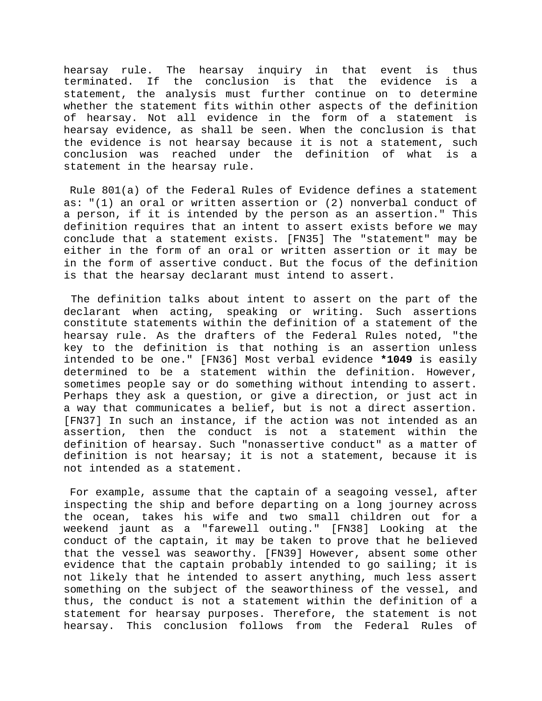hearsay rule. The hearsay inquiry in that event is thus terminated. If the conclusion is that the evidence is a statement, the analysis must further continue on to determine whether the statement fits within other aspects of the definition of hearsay. Not all evidence in the form of a statement is hearsay evidence, as shall be seen. When the conclusion is that the evidence is not hearsay because it is not a statement, such conclusion was reached under the definition of what is a statement in the hearsay rule.

Rule 801(a) of the Federal Rules of Evidence defines a statement as: "(1) an oral or written assertion or (2) nonverbal conduct of a person, if it is intended by the person as an assertion." This definition requires that an intent to assert exists before we may conclude that a statement exists. [FN35] The "statement" may be either in the form of an oral or written assertion or it may be in the form of assertive conduct. But the focus of the definition is that the hearsay declarant must intend to assert.

The definition talks about intent to assert on the part of the declarant when acting, speaking or writing. Such assertions constitute statements within the definition of a statement of the hearsay rule. As the drafters of the Federal Rules noted, "the key to the definition is that nothing is an assertion unless intended to be one." [FN36] Most verbal evidence **\*1049** is easily determined to be a statement within the definition. However, sometimes people say or do something without intending to assert. Perhaps they ask a question, or give a direction, or just act in a way that communicates a belief, but is not a direct assertion. [FN37] In such an instance, if the action was not intended as an assertion, then the conduct is not a statement within the definition of hearsay. Such "nonassertive conduct" as a matter of definition is not hearsay; it is not a statement, because it is not intended as a statement.

For example, assume that the captain of a seagoing vessel, after inspecting the ship and before departing on a long journey across the ocean, takes his wife and two small children out for a weekend jaunt as a "farewell outing." [FN38] Looking at the conduct of the captain, it may be taken to prove that he believed that the vessel was seaworthy. [FN39] However, absent some other evidence that the captain probably intended to go sailing; it is not likely that he intended to assert anything, much less assert something on the subject of the seaworthiness of the vessel, and thus, the conduct is not a statement within the definition of a statement for hearsay purposes. Therefore, the statement is not hearsay. This conclusion follows from the Federal Rules of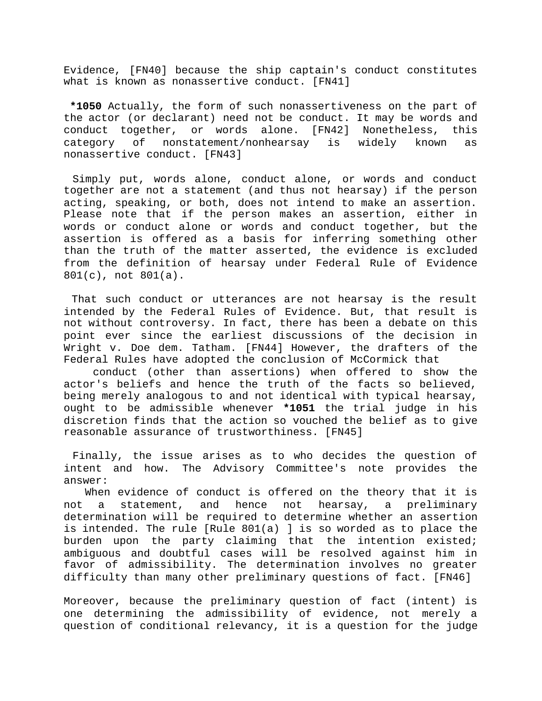Evidence, [FN40] because the ship captain's conduct constitutes what is known as nonassertive conduct. [FN41]

**\*1050** Actually, the form of such nonassertiveness on the part of the actor (or declarant) need not be conduct. It may be words and conduct together, or words alone. [FN42] Nonetheless, this category of nonstatement/nonhearsay is widely known as nonassertive conduct. [FN43]

Simply put, words alone, conduct alone, or words and conduct together are not a statement (and thus not hearsay) if the person acting, speaking, or both, does not intend to make an assertion. Please note that if the person makes an assertion, either in words or conduct alone or words and conduct together, but the assertion is offered as a basis for inferring something other than the truth of the matter asserted, the evidence is excluded from the definition of hearsay under Federal Rule of Evidence 801(c), not 801(a).

That such conduct or utterances are not hearsay is the result intended by the Federal Rules of Evidence. But, that result is not without controversy. In fact, there has been a debate on this point ever since the earliest discussions of the decision in Wright v. Doe dem. Tatham. [FN44] However, the drafters of the Federal Rules have adopted the conclusion of McCormick that

conduct (other than assertions) when offered to show the actor's beliefs and hence the truth of the facts so believed, being merely analogous to and not identical with typical hearsay, ought to be admissible whenever **\*1051** the trial judge in his discretion finds that the action so vouched the belief as to give reasonable assurance of trustworthiness. [FN45]

Finally, the issue arises as to who decides the question of intent and how. The Advisory Committee's note provides the answer:

When evidence of conduct is offered on the theory that it is not a statement, and hence not hearsay, a preliminary determination will be required to determine whether an assertion is intended. The rule [Rule 801(a) ] is so worded as to place the burden upon the party claiming that the intention existed; ambiguous and doubtful cases will be resolved against him in favor of admissibility. The determination involves no greater difficulty than many other preliminary questions of fact. [FN46]

Moreover, because the preliminary question of fact (intent) is one determining the admissibility of evidence, not merely a question of conditional relevancy, it is a question for the judge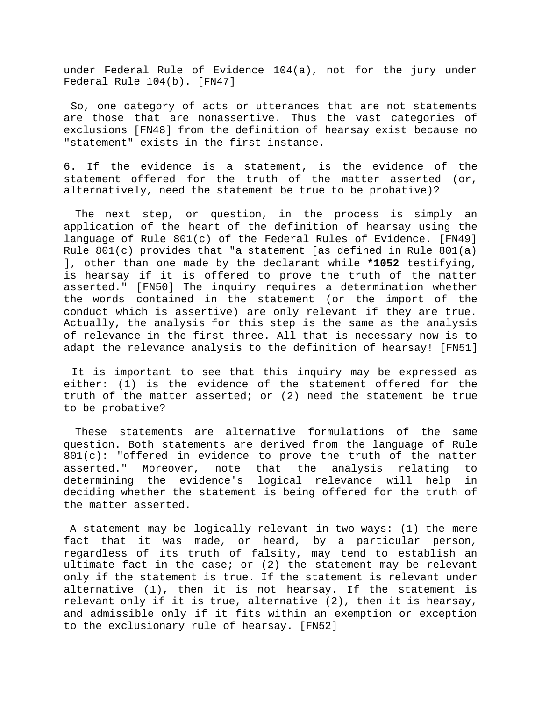under Federal Rule of Evidence 104(a), not for the jury under Federal Rule 104(b). [FN47]

So, one category of acts or utterances that are not statements are those that are nonassertive. Thus the vast categories of exclusions [FN48] from the definition of hearsay exist because no "statement" exists in the first instance.

6. If the evidence is a statement, is the evidence of the statement offered for the truth of the matter asserted (or, alternatively, need the statement be true to be probative)?

The next step, or question, in the process is simply an application of the heart of the definition of hearsay using the language of Rule 801(c) of the Federal Rules of Evidence. [FN49] Rule 801(c) provides that "a statement [as defined in Rule 801(a) ], other than one made by the declarant while **\*1052** testifying, is hearsay if it is offered to prove the truth of the matter asserted." [FN50] The inquiry requires a determination whether the words contained in the statement (or the import of the conduct which is assertive) are only relevant if they are true. Actually, the analysis for this step is the same as the analysis of relevance in the first three. All that is necessary now is to adapt the relevance analysis to the definition of hearsay! [FN51]

It is important to see that this inquiry may be expressed as either: (1) is the evidence of the statement offered for the truth of the matter asserted; or (2) need the statement be true to be probative?

These statements are alternative formulations of the same question. Both statements are derived from the language of Rule 801(c): "offered in evidence to prove the truth of the matter asserted." Moreover, note that the analysis relating to determining the evidence's logical relevance will help in deciding whether the statement is being offered for the truth of the matter asserted.

A statement may be logically relevant in two ways: (1) the mere fact that it was made, or heard, by a particular person, regardless of its truth of falsity, may tend to establish an ultimate fact in the case; or (2) the statement may be relevant only if the statement is true. If the statement is relevant under alternative (1), then it is not hearsay. If the statement is relevant only if it is true, alternative (2), then it is hearsay, and admissible only if it fits within an exemption or exception to the exclusionary rule of hearsay. [FN52]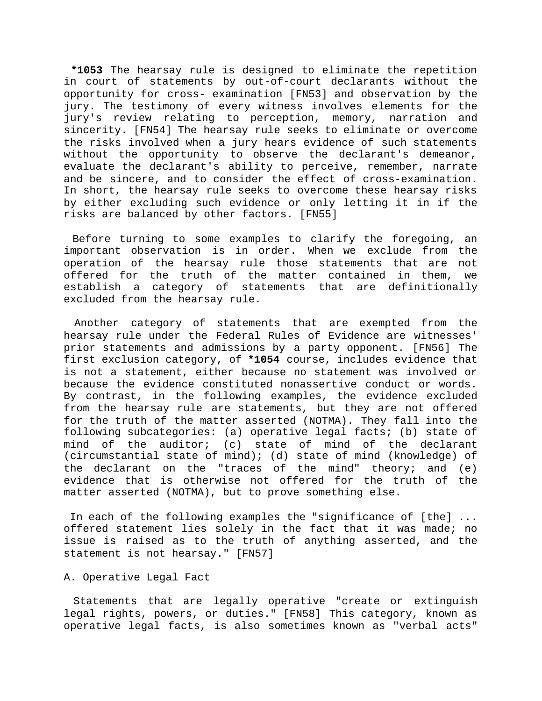**\*1053** The hearsay rule is designed to eliminate the repetition in court of statements by out-of-court declarants without the opportunity for cross- examination [FN53] and observation by the jury. The testimony of every witness involves elements for the jury's review relating to perception, memory, narration and sincerity. [FN54] The hearsay rule seeks to eliminate or overcome the risks involved when a jury hears evidence of such statements without the opportunity to observe the declarant's demeanor, evaluate the declarant's ability to perceive, remember, narrate and be sincere, and to consider the effect of cross-examination. In short, the hearsay rule seeks to overcome these hearsay risks by either excluding such evidence or only letting it in if the risks are balanced by other factors. [FN55]

Before turning to some examples to clarify the foregoing, an important observation is in order. When we exclude from the operation of the hearsay rule those statements that are not offered for the truth of the matter contained in them, we establish a category of statements that are definitionally excluded from the hearsay rule.

Another category of statements that are exempted from the hearsay rule under the Federal Rules of Evidence are witnesses' prior statements and admissions by a party opponent. [FN56] The first exclusion category, of **\*1054** course, includes evidence that is not a statement, either because no statement was involved or because the evidence constituted nonassertive conduct or words. By contrast, in the following examples, the evidence excluded from the hearsay rule are statements, but they are not offered for the truth of the matter asserted (NOTMA). They fall into the following subcategories: (a) operative legal facts; (b) state of mind of the auditor; (c) state of mind of the declarant (circumstantial state of mind); (d) state of mind (knowledge) of the declarant on the "traces of the mind" theory; and  $(e)$ evidence that is otherwise not offered for the truth of the matter asserted (NOTMA), but to prove something else.

In each of the following examples the "significance of [the] ... offered statement lies solely in the fact that it was made; no issue is raised as to the truth of anything asserted, and the statement is not hearsay." [FN57]

## A. Operative Legal Fact

Statements that are legally operative "create or extinguish legal rights, powers, or duties." [FN58] This category, known as operative legal facts, is also sometimes known as "verbal acts"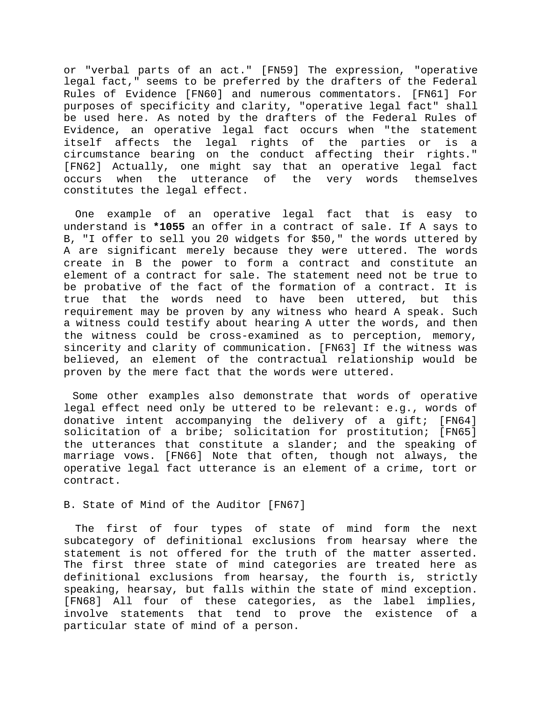or "verbal parts of an act." [FN59] The expression, "operative legal fact," seems to be preferred by the drafters of the Federal Rules of Evidence [FN60] and numerous commentators. [FN61] For purposes of specificity and clarity, "operative legal fact" shall be used here. As noted by the drafters of the Federal Rules of Evidence, an operative legal fact occurs when "the statement itself affects the legal rights of the parties or is a circumstance bearing on the conduct affecting their rights." [FN62] Actually, one might say that an operative legal fact occurs when the utterance of the very words themselves constitutes the legal effect.

One example of an operative legal fact that is easy to understand is **\*1055** an offer in a contract of sale. If A says to B, "I offer to sell you 20 widgets for \$50," the words uttered by A are significant merely because they were uttered. The words create in B the power to form a contract and constitute an element of a contract for sale. The statement need not be true to be probative of the fact of the formation of a contract. It is true that the words need to have been uttered, but this requirement may be proven by any witness who heard A speak. Such a witness could testify about hearing A utter the words, and then the witness could be cross-examined as to perception, memory, sincerity and clarity of communication. [FN63] If the witness was believed, an element of the contractual relationship would be proven by the mere fact that the words were uttered.

Some other examples also demonstrate that words of operative legal effect need only be uttered to be relevant: e.g., words of donative intent accompanying the delivery of a gift; [FN64] solicitation of a bribe; solicitation for prostitution; [FN65] the utterances that constitute a slander; and the speaking of marriage vows. [FN66] Note that often, though not always, the operative legal fact utterance is an element of a crime, tort or contract.

#### B. State of Mind of the Auditor [FN67]

The first of four types of state of mind form the next subcategory of definitional exclusions from hearsay where the statement is not offered for the truth of the matter asserted. The first three state of mind categories are treated here as definitional exclusions from hearsay, the fourth is, strictly speaking, hearsay, but falls within the state of mind exception. [FN68] All four of these categories, as the label implies, involve statements that tend to prove the existence of a particular state of mind of a person.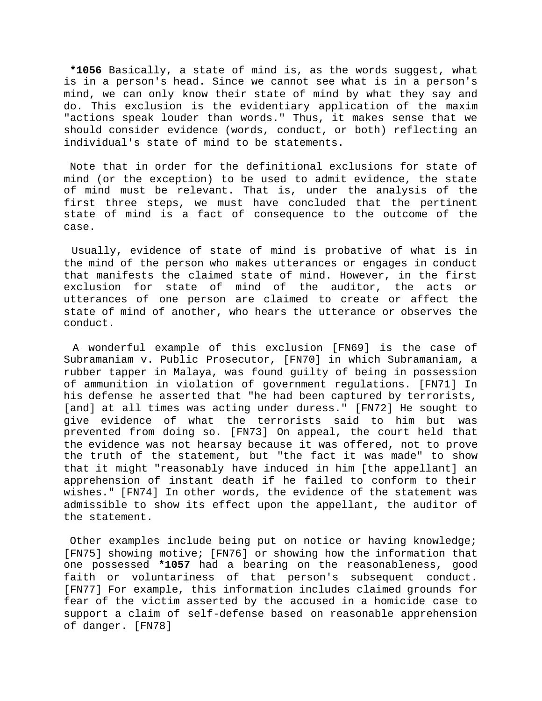**\*1056** Basically, a state of mind is, as the words suggest, what is in a person's head. Since we cannot see what is in a person's mind, we can only know their state of mind by what they say and do. This exclusion is the evidentiary application of the maxim "actions speak louder than words." Thus, it makes sense that we should consider evidence (words, conduct, or both) reflecting an individual's state of mind to be statements.

Note that in order for the definitional exclusions for state of mind (or the exception) to be used to admit evidence, the state of mind must be relevant. That is, under the analysis of the first three steps, we must have concluded that the pertinent state of mind is a fact of consequence to the outcome of the case.

Usually, evidence of state of mind is probative of what is in the mind of the person who makes utterances or engages in conduct that manifests the claimed state of mind. However, in the first exclusion for state of mind of the auditor, the acts or utterances of one person are claimed to create or affect the state of mind of another, who hears the utterance or observes the conduct.

A wonderful example of this exclusion [FN69] is the case of Subramaniam v. Public Prosecutor, [FN70] in which Subramaniam, a rubber tapper in Malaya, was found guilty of being in possession of ammunition in violation of government regulations. [FN71] In his defense he asserted that "he had been captured by terrorists, [and] at all times was acting under duress." [FN72] He sought to give evidence of what the terrorists said to him but was prevented from doing so. [FN73] On appeal, the court held that the evidence was not hearsay because it was offered, not to prove the truth of the statement, but "the fact it was made" to show that it might "reasonably have induced in him [the appellant] an apprehension of instant death if he failed to conform to their wishes." [FN74] In other words, the evidence of the statement was admissible to show its effect upon the appellant, the auditor of the statement.

Other examples include being put on notice or having knowledge; [FN75] showing motive; [FN76] or showing how the information that one possessed **\*1057** had a bearing on the reasonableness, good faith or voluntariness of that person's subsequent conduct. [FN77] For example, this information includes claimed grounds for fear of the victim asserted by the accused in a homicide case to support a claim of self-defense based on reasonable apprehension of danger. [FN78]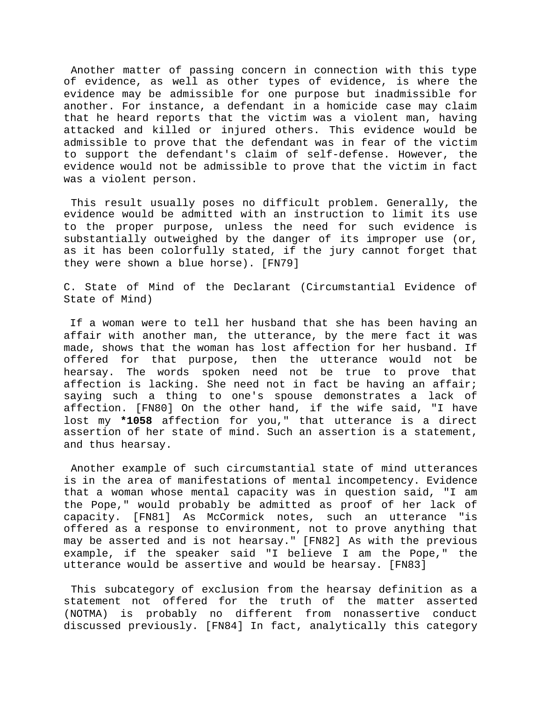Another matter of passing concern in connection with this type of evidence, as well as other types of evidence, is where the evidence may be admissible for one purpose but inadmissible for another. For instance, a defendant in a homicide case may claim that he heard reports that the victim was a violent man, having attacked and killed or injured others. This evidence would be admissible to prove that the defendant was in fear of the victim to support the defendant's claim of self-defense. However, the evidence would not be admissible to prove that the victim in fact was a violent person.

This result usually poses no difficult problem. Generally, the evidence would be admitted with an instruction to limit its use to the proper purpose, unless the need for such evidence is substantially outweighed by the danger of its improper use (or, as it has been colorfully stated, if the jury cannot forget that they were shown a blue horse). [FN79]

C. State of Mind of the Declarant (Circumstantial Evidence of State of Mind)

If a woman were to tell her husband that she has been having an affair with another man, the utterance, by the mere fact it was made, shows that the woman has lost affection for her husband. If offered for that purpose, then the utterance would not be hearsay. The words spoken need not be true to prove that affection is lacking. She need not in fact be having an affair; saying such a thing to one's spouse demonstrates a lack of affection. [FN80] On the other hand, if the wife said, "I have lost my **\*1058** affection for you," that utterance is a direct assertion of her state of mind. Such an assertion is a statement, and thus hearsay.

Another example of such circumstantial state of mind utterances is in the area of manifestations of mental incompetency. Evidence that a woman whose mental capacity was in question said, "I am the Pope," would probably be admitted as proof of her lack of capacity. [FN81] As McCormick notes, such an utterance "is offered as a response to environment, not to prove anything that may be asserted and is not hearsay." [FN82] As with the previous example, if the speaker said "I believe I am the Pope," the utterance would be assertive and would be hearsay. [FN83]

This subcategory of exclusion from the hearsay definition as a statement not offered for the truth of the matter asserted (NOTMA) is probably no different from nonassertive conduct discussed previously. [FN84] In fact, analytically this category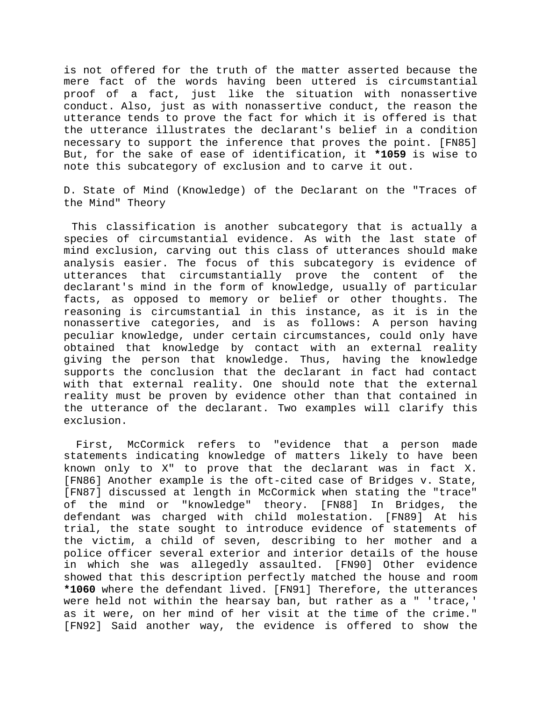is not offered for the truth of the matter asserted because the mere fact of the words having been uttered is circumstantial proof of a fact, just like the situation with nonassertive conduct. Also, just as with nonassertive conduct, the reason the utterance tends to prove the fact for which it is offered is that the utterance illustrates the declarant's belief in a condition necessary to support the inference that proves the point. [FN85] But, for the sake of ease of identification, it **\*1059** is wise to note this subcategory of exclusion and to carve it out.

D. State of Mind (Knowledge) of the Declarant on the "Traces of the Mind" Theory

This classification is another subcategory that is actually a species of circumstantial evidence. As with the last state of mind exclusion, carving out this class of utterances should make analysis easier. The focus of this subcategory is evidence of utterances that circumstantially prove the content of the declarant's mind in the form of knowledge, usually of particular facts, as opposed to memory or belief or other thoughts. The reasoning is circumstantial in this instance, as it is in the nonassertive categories, and is as follows: A person having peculiar knowledge, under certain circumstances, could only have obtained that knowledge by contact with an external reality giving the person that knowledge. Thus, having the knowledge supports the conclusion that the declarant in fact had contact with that external reality. One should note that the external reality must be proven by evidence other than that contained in the utterance of the declarant. Two examples will clarify this exclusion.

First, McCormick refers to "evidence that a person made statements indicating knowledge of matters likely to have been known only to X" to prove that the declarant was in fact X. [FN86] Another example is the oft-cited case of Bridges v. State, [FN87] discussed at length in McCormick when stating the "trace" of the mind or "knowledge" theory. [FN88] In Bridges, the defendant was charged with child molestation. [FN89] At his trial, the state sought to introduce evidence of statements of the victim, a child of seven, describing to her mother and a police officer several exterior and interior details of the house in which she was allegedly assaulted. [FN90] Other evidence showed that this description perfectly matched the house and room **\*1060** where the defendant lived. [FN91] Therefore, the utterances were held not within the hearsay ban, but rather as a " 'trace,' as it were, on her mind of her visit at the time of the crime." [FN92] Said another way, the evidence is offered to show the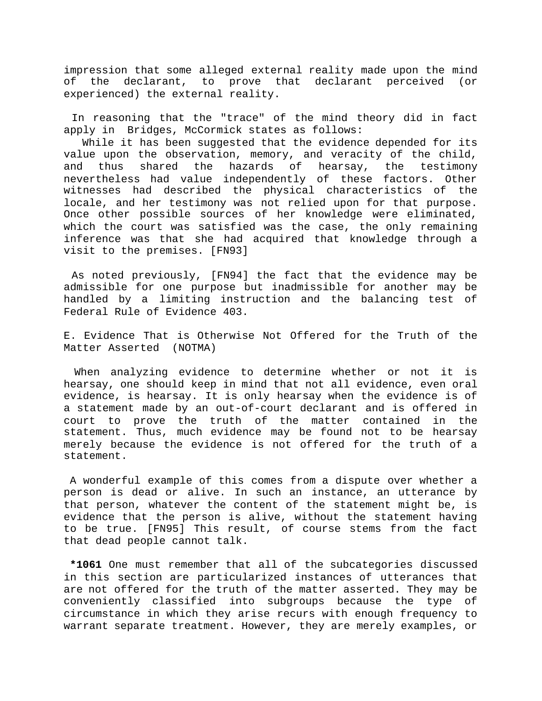impression that some alleged external reality made upon the mind of the declarant, to prove that declarant perceived (or experienced) the external reality.

In reasoning that the "trace" of the mind theory did in fact apply in Bridges, McCormick states as follows:

While it has been suggested that the evidence depended for its value upon the observation, memory, and veracity of the child, and thus shared the hazards of hearsay, the testimony nevertheless had value independently of these factors. Other witnesses had described the physical characteristics of the locale, and her testimony was not relied upon for that purpose. Once other possible sources of her knowledge were eliminated, which the court was satisfied was the case, the only remaining inference was that she had acquired that knowledge through a visit to the premises. [FN93]

As noted previously, [FN94] the fact that the evidence may be admissible for one purpose but inadmissible for another may be handled by a limiting instruction and the balancing test of Federal Rule of Evidence 403.

E. Evidence That is Otherwise Not Offered for the Truth of the Matter Asserted (NOTMA)

When analyzing evidence to determine whether or not it is hearsay, one should keep in mind that not all evidence, even oral evidence, is hearsay. It is only hearsay when the evidence is of a statement made by an out-of-court declarant and is offered in court to prove the truth of the matter contained in the statement. Thus, much evidence may be found not to be hearsay merely because the evidence is not offered for the truth of a statement.

A wonderful example of this comes from a dispute over whether a person is dead or alive. In such an instance, an utterance by that person, whatever the content of the statement might be, is evidence that the person is alive, without the statement having to be true. [FN95] This result, of course stems from the fact that dead people cannot talk.

**\*1061** One must remember that all of the subcategories discussed in this section are particularized instances of utterances that are not offered for the truth of the matter asserted. They may be conveniently classified into subgroups because the type of circumstance in which they arise recurs with enough frequency to warrant separate treatment. However, they are merely examples, or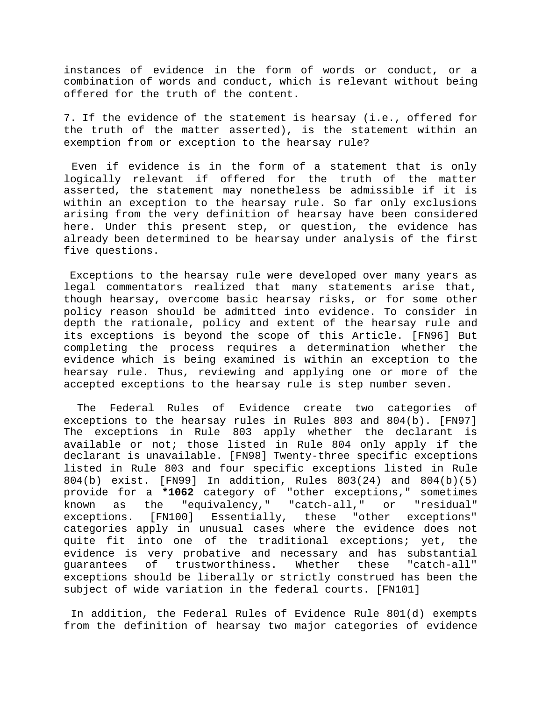instances of evidence in the form of words or conduct, or a combination of words and conduct, which is relevant without being offered for the truth of the content.

7. If the evidence of the statement is hearsay (i.e., offered for the truth of the matter asserted), is the statement within an exemption from or exception to the hearsay rule?

Even if evidence is in the form of a statement that is only logically relevant if offered for the truth of the matter asserted, the statement may nonetheless be admissible if it is within an exception to the hearsay rule. So far only exclusions arising from the very definition of hearsay have been considered here. Under this present step, or question, the evidence has already been determined to be hearsay under analysis of the first five questions.

Exceptions to the hearsay rule were developed over many years as legal commentators realized that many statements arise that, though hearsay, overcome basic hearsay risks, or for some other policy reason should be admitted into evidence. To consider in depth the rationale, policy and extent of the hearsay rule and its exceptions is beyond the scope of this Article. [FN96] But completing the process requires a determination whether the evidence which is being examined is within an exception to the hearsay rule. Thus, reviewing and applying one or more of the accepted exceptions to the hearsay rule is step number seven.

The Federal Rules of Evidence create two categories of exceptions to the hearsay rules in Rules 803 and 804(b). [FN97] The exceptions in Rule 803 apply whether the declarant is available or not; those listed in Rule 804 only apply if the declarant is unavailable. [FN98] Twenty-three specific exceptions listed in Rule 803 and four specific exceptions listed in Rule 804(b) exist. [FN99] In addition, Rules 803(24) and 804(b)(5) provide for a **\*1062** category of "other exceptions," sometimes known as the "equivalency," "catch-all," or "residual" exceptions. [FN100] Essentially, these "other exceptions" categories apply in unusual cases where the evidence does not quite fit into one of the traditional exceptions; yet, the evidence is very probative and necessary and has substantial guarantees of trustworthiness. Whether these "catch-all" exceptions should be liberally or strictly construed has been the subject of wide variation in the federal courts. [FN101]

In addition, the Federal Rules of Evidence Rule 801(d) exempts from the definition of hearsay two major categories of evidence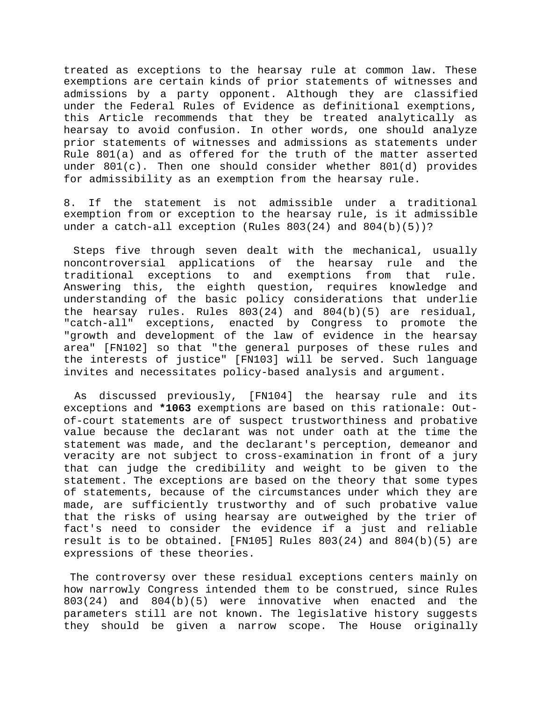treated as exceptions to the hearsay rule at common law. These exemptions are certain kinds of prior statements of witnesses and admissions by a party opponent. Although they are classified under the Federal Rules of Evidence as definitional exemptions, this Article recommends that they be treated analytically as hearsay to avoid confusion. In other words, one should analyze prior statements of witnesses and admissions as statements under Rule 801(a) and as offered for the truth of the matter asserted under  $801(c)$ . Then one should consider whether  $801(d)$  provides for admissibility as an exemption from the hearsay rule.

8. If the statement is not admissible under a traditional exemption from or exception to the hearsay rule, is it admissible under a catch-all exception (Rules 803(24) and 804(b)(5))?

Steps five through seven dealt with the mechanical, usually noncontroversial applications of the hearsay rule and the traditional exceptions to and exemptions from that rule. Answering this, the eighth question, requires knowledge and understanding of the basic policy considerations that underlie the hearsay rules. Rules 803(24) and 804(b)(5) are residual, "catch-all" exceptions, enacted by Congress to promote the "growth and development of the law of evidence in the hearsay area" [FN102] so that "the general purposes of these rules and the interests of justice" [FN103] will be served. Such language invites and necessitates policy-based analysis and argument.

As discussed previously, [FN104] the hearsay rule and its exceptions and **\*1063** exemptions are based on this rationale: Outof-court statements are of suspect trustworthiness and probative value because the declarant was not under oath at the time the statement was made, and the declarant's perception, demeanor and veracity are not subject to cross-examination in front of a jury that can judge the credibility and weight to be given to the statement. The exceptions are based on the theory that some types of statements, because of the circumstances under which they are made, are sufficiently trustworthy and of such probative value that the risks of using hearsay are outweighed by the trier of fact's need to consider the evidence if a just and reliable result is to be obtained. [FN105] Rules 803(24) and 804(b)(5) are expressions of these theories.

The controversy over these residual exceptions centers mainly on how narrowly Congress intended them to be construed, since Rules 803(24) and 804(b)(5) were innovative when enacted and the parameters still are not known. The legislative history suggests they should be given a narrow scope. The House originally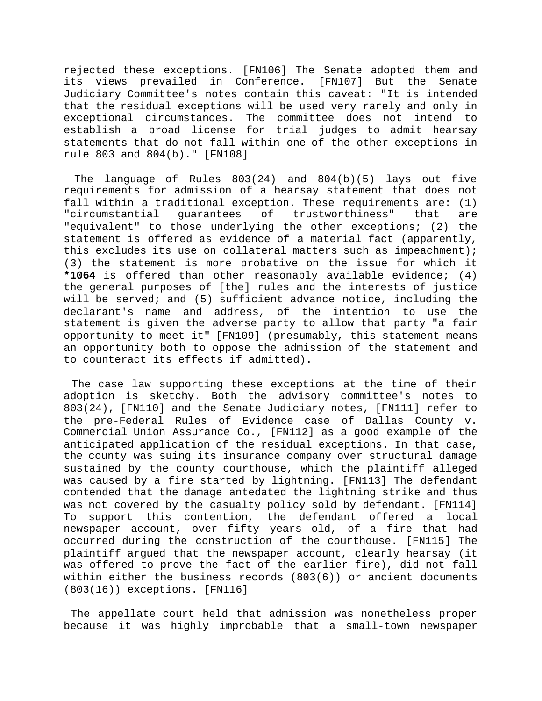rejected these exceptions. [FN106] The Senate adopted them and its views prevailed in Conference. [FN107] But the Senate Judiciary Committee's notes contain this caveat: "It is intended that the residual exceptions will be used very rarely and only in exceptional circumstances. The committee does not intend to establish a broad license for trial judges to admit hearsay statements that do not fall within one of the other exceptions in rule 803 and 804(b)." [FN108]

The language of Rules 803(24) and 804(b)(5) lays out five requirements for admission of a hearsay statement that does not fall within a traditional exception. These requirements are: (1) "circumstantial guarantees of trustworthiness" that are "equivalent" to those underlying the other exceptions; (2) the statement is offered as evidence of a material fact (apparently, this excludes its use on collateral matters such as impeachment); (3) the statement is more probative on the issue for which it **\*1064** is offered than other reasonably available evidence; (4) the general purposes of [the] rules and the interests of justice will be served; and (5) sufficient advance notice, including the declarant's name and address, of the intention to use the statement is given the adverse party to allow that party "a fair opportunity to meet it" [FN109] (presumably, this statement means an opportunity both to oppose the admission of the statement and to counteract its effects if admitted).

The case law supporting these exceptions at the time of their adoption is sketchy. Both the advisory committee's notes to 803(24), [FN110] and the Senate Judiciary notes, [FN111] refer to the pre-Federal Rules of Evidence case of Dallas County v. Commercial Union Assurance Co., [FN112] as a good example of the anticipated application of the residual exceptions. In that case, the county was suing its insurance company over structural damage sustained by the county courthouse, which the plaintiff alleged was caused by a fire started by lightning. [FN113] The defendant contended that the damage antedated the lightning strike and thus was not covered by the casualty policy sold by defendant. [FN114] To support this contention, the defendant offered a local newspaper account, over fifty years old, of a fire that had occurred during the construction of the courthouse. [FN115] The plaintiff argued that the newspaper account, clearly hearsay (it was offered to prove the fact of the earlier fire), did not fall within either the business records (803(6)) or ancient documents (803(16)) exceptions. [FN116]

The appellate court held that admission was nonetheless proper because it was highly improbable that a small-town newspaper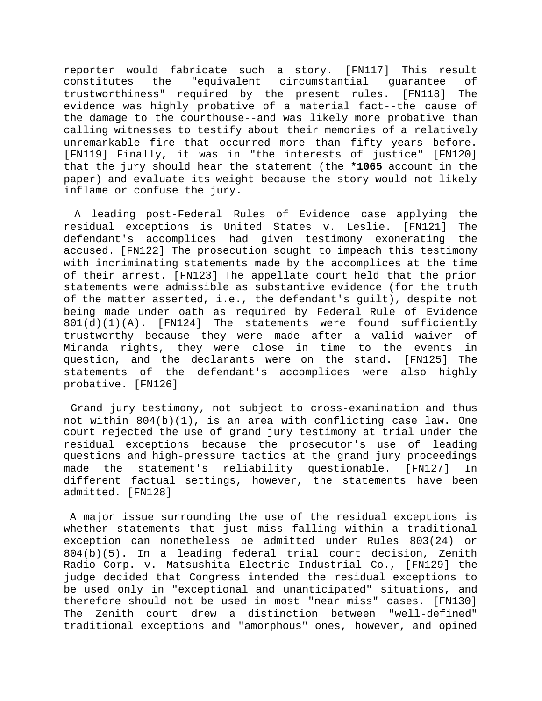reporter would fabricate such a story. [FN117] This result constitutes the "equivalent circumstantial guarantee of trustworthiness" required by the present rules. [FN118] The evidence was highly probative of a material fact--the cause of the damage to the courthouse--and was likely more probative than calling witnesses to testify about their memories of a relatively unremarkable fire that occurred more than fifty years before. [FN119] Finally, it was in "the interests of justice" [FN120] that the jury should hear the statement (the **\*1065** account in the paper) and evaluate its weight because the story would not likely inflame or confuse the jury.

A leading post-Federal Rules of Evidence case applying the residual exceptions is United States v. Leslie. [FN121] The defendant's accomplices had given testimony exonerating the accused. [FN122] The prosecution sought to impeach this testimony with incriminating statements made by the accomplices at the time of their arrest. [FN123] The appellate court held that the prior statements were admissible as substantive evidence (for the truth of the matter asserted, i.e., the defendant's guilt), despite not being made under oath as required by Federal Rule of Evidence  $801(d)(1)(A)$ . [FN124] The statements were found sufficiently trustworthy because they were made after a valid waiver of Miranda rights, they were close in time to the events in question, and the declarants were on the stand. [FN125] The statements of the defendant's accomplices were also highly probative. [FN126]

Grand jury testimony, not subject to cross-examination and thus not within  $804(b)(1)$ , is an area with conflicting case law. One court rejected the use of grand jury testimony at trial under the residual exceptions because the prosecutor's use of leading questions and high-pressure tactics at the grand jury proceedings made the statement's reliability questionable. [FN127] In different factual settings, however, the statements have been admitted. [FN128]

A major issue surrounding the use of the residual exceptions is whether statements that just miss falling within a traditional exception can nonetheless be admitted under Rules 803(24) or 804(b)(5). In a leading federal trial court decision, Zenith Radio Corp. v. Matsushita Electric Industrial Co., [FN129] the judge decided that Congress intended the residual exceptions to be used only in "exceptional and unanticipated" situations, and therefore should not be used in most "near miss" cases. [FN130] The Zenith court drew a distinction between "well-defined" traditional exceptions and "amorphous" ones, however, and opined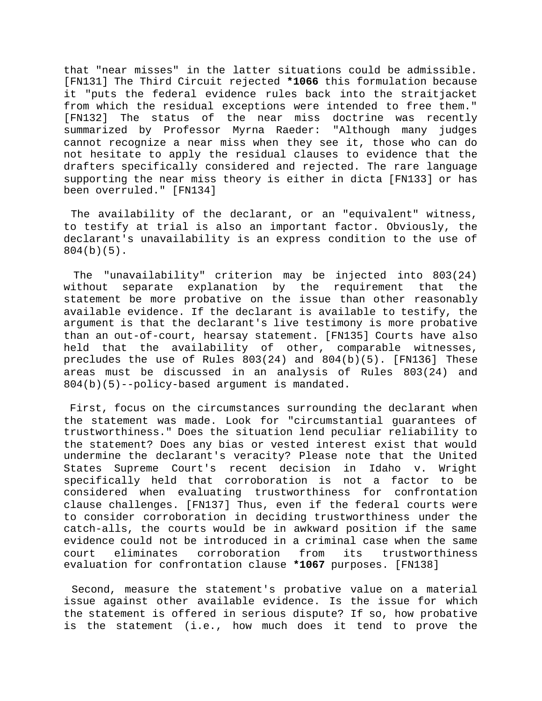that "near misses" in the latter situations could be admissible. [FN131] The Third Circuit rejected **\*1066** this formulation because it "puts the federal evidence rules back into the straitjacket from which the residual exceptions were intended to free them." [FN132] The status of the near miss doctrine was recently summarized by Professor Myrna Raeder: "Although many judges cannot recognize a near miss when they see it, those who can do not hesitate to apply the residual clauses to evidence that the drafters specifically considered and rejected. The rare language supporting the near miss theory is either in dicta [FN133] or has been overruled." [FN134]

The availability of the declarant, or an "equivalent" witness, to testify at trial is also an important factor. Obviously, the declarant's unavailability is an express condition to the use of 804(b)(5).

The "unavailability" criterion may be injected into 803(24) without separate explanation by the requirement that the statement be more probative on the issue than other reasonably available evidence. If the declarant is available to testify, the argument is that the declarant's live testimony is more probative than an out-of-court, hearsay statement. [FN135] Courts have also held that the availability of other, comparable witnesses, precludes the use of Rules 803(24) and 804(b)(5). [FN136] These areas must be discussed in an analysis of Rules 803(24) and 804(b)(5)--policy-based argument is mandated.

First, focus on the circumstances surrounding the declarant when the statement was made. Look for "circumstantial guarantees of trustworthiness." Does the situation lend peculiar reliability to the statement? Does any bias or vested interest exist that would undermine the declarant's veracity? Please note that the United States Supreme Court's recent decision in Idaho v. Wright specifically held that corroboration is not a factor to be considered when evaluating trustworthiness for confrontation clause challenges. [FN137] Thus, even if the federal courts were to consider corroboration in deciding trustworthiness under the catch-alls, the courts would be in awkward position if the same evidence could not be introduced in a criminal case when the same court eliminates corroboration from its trustworthiness evaluation for confrontation clause **\*1067** purposes. [FN138]

Second, measure the statement's probative value on a material issue against other available evidence. Is the issue for which the statement is offered in serious dispute? If so, how probative is the statement (i.e., how much does it tend to prove the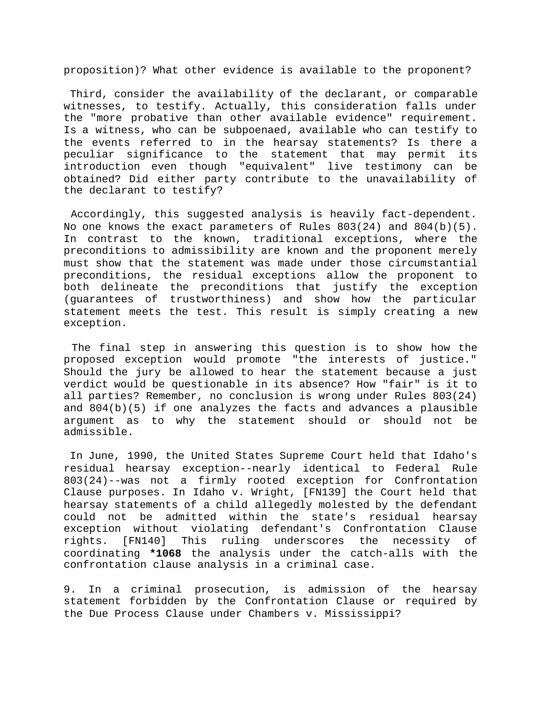proposition)? What other evidence is available to the proponent?

Third, consider the availability of the declarant, or comparable witnesses, to testify. Actually, this consideration falls under the "more probative than other available evidence" requirement. Is a witness, who can be subpoenaed, available who can testify to the events referred to in the hearsay statements? Is there a peculiar significance to the statement that may permit its introduction even though "equivalent" live testimony can be obtained? Did either party contribute to the unavailability of the declarant to testify?

Accordingly, this suggested analysis is heavily fact-dependent. No one knows the exact parameters of Rules  $803(24)$  and  $804(b)(5)$ . In contrast to the known, traditional exceptions, where the preconditions to admissibility are known and the proponent merely must show that the statement was made under those circumstantial preconditions, the residual exceptions allow the proponent to both delineate the preconditions that justify the exception (guarantees of trustworthiness) and show how the particular statement meets the test. This result is simply creating a new exception.

The final step in answering this question is to show how the proposed exception would promote "the interests of justice." Should the jury be allowed to hear the statement because a just verdict would be questionable in its absence? How "fair" is it to all parties? Remember, no conclusion is wrong under Rules 803(24) and 804(b)(5) if one analyzes the facts and advances a plausible argument as to why the statement should or should not be admissible.

In June, 1990, the United States Supreme Court held that Idaho's residual hearsay exception--nearly identical to Federal Rule 803(24)--was not a firmly rooted exception for Confrontation Clause purposes. In Idaho v. Wright, [FN139] the Court held that hearsay statements of a child allegedly molested by the defendant could not be admitted within the state's residual hearsay exception without violating defendant's Confrontation Clause rights. [FN140] This ruling underscores the necessity of coordinating **\*1068** the analysis under the catch-alls with the confrontation clause analysis in a criminal case.

9. In a criminal prosecution, is admission of the hearsay statement forbidden by the Confrontation Clause or required by the Due Process Clause under Chambers v. Mississippi?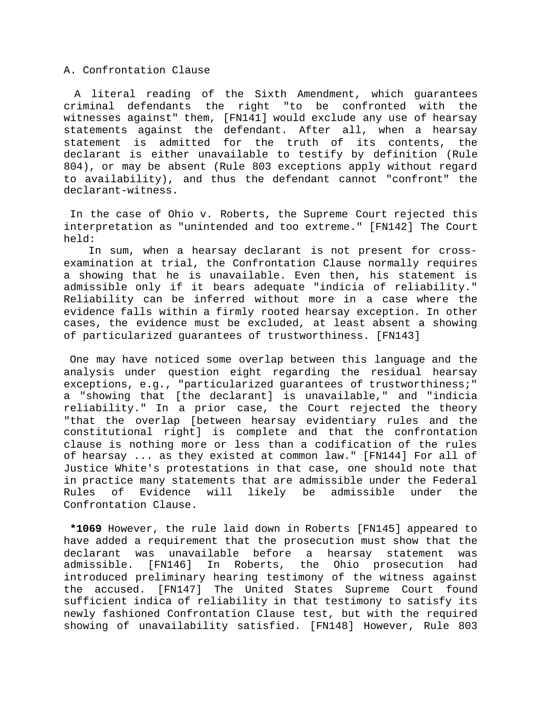A. Confrontation Clause

A literal reading of the Sixth Amendment, which guarantees criminal defendants the right "to be confronted with the witnesses against" them, [FN141] would exclude any use of hearsay statements against the defendant. After all, when a hearsay statement is admitted for the truth of its contents, the declarant is either unavailable to testify by definition (Rule 804), or may be absent (Rule 803 exceptions apply without regard to availability), and thus the defendant cannot "confront" the declarant-witness.

In the case of Ohio v. Roberts, the Supreme Court rejected this interpretation as "unintended and too extreme." [FN142] The Court held:

In sum, when a hearsay declarant is not present for crossexamination at trial, the Confrontation Clause normally requires a showing that he is unavailable. Even then, his statement is admissible only if it bears adequate "indicia of reliability." Reliability can be inferred without more in a case where the evidence falls within a firmly rooted hearsay exception. In other cases, the evidence must be excluded, at least absent a showing of particularized guarantees of trustworthiness. [FN143]

One may have noticed some overlap between this language and the analysis under question eight regarding the residual hearsay exceptions, e.g., "particularized guarantees of trustworthiness;" a "showing that [the declarant] is unavailable," and "indicia reliability." In a prior case, the Court rejected the theory "that the overlap [between hearsay evidentiary rules and the constitutional right] is complete and that the confrontation clause is nothing more or less than a codification of the rules of hearsay ... as they existed at common law." [FN144] For all of Justice White's protestations in that case, one should note that in practice many statements that are admissible under the Federal Rules of Evidence will likely be admissible under the Confrontation Clause.

**\*1069** However, the rule laid down in Roberts [FN145] appeared to have added a requirement that the prosecution must show that the declarant was unavailable before a hearsay statement was admissible. [FN146] In Roberts, the Ohio prosecution had introduced preliminary hearing testimony of the witness against the accused. [FN147] The United States Supreme Court found sufficient indica of reliability in that testimony to satisfy its newly fashioned Confrontation Clause test, but with the required showing of unavailability satisfied. [FN148] However, Rule 803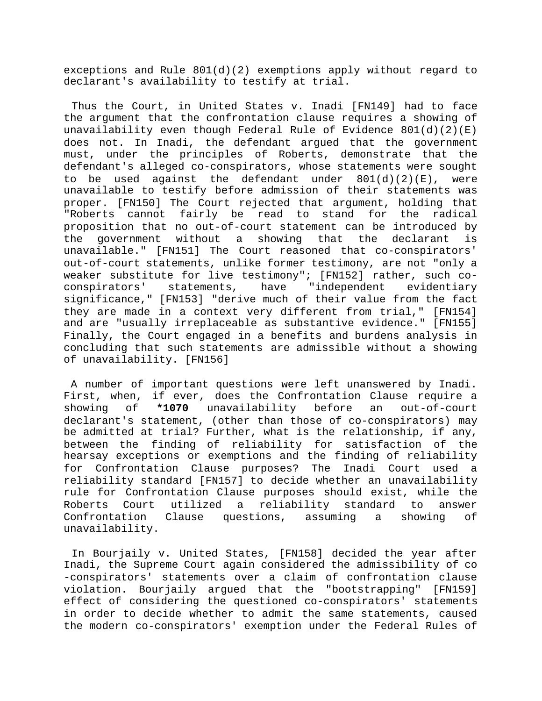exceptions and Rule 801(d)(2) exemptions apply without regard to declarant's availability to testify at trial.

Thus the Court, in United States v. Inadi [FN149] had to face the argument that the confrontation clause requires a showing of unavailability even though Federal Rule of Evidence  $801(d)(2)(E)$ does not. In Inadi, the defendant argued that the government must, under the principles of Roberts, demonstrate that the defendant's alleged co-conspirators, whose statements were sought to be used against the defendant under  $801(d)(2)(E)$ , were unavailable to testify before admission of their statements was proper. [FN150] The Court rejected that argument, holding that "Roberts cannot fairly be read to stand for the radical proposition that no out-of-court statement can be introduced by the government without a showing that the declarant is unavailable." [FN151] The Court reasoned that co-conspirators' out-of-court statements, unlike former testimony, are not "only a weaker substitute for live testimony"; [FN152] rather, such coconspirators' statements, have "independent evidentiary significance," [FN153] "derive much of their value from the fact they are made in a context very different from trial," [FN154] and are "usually irreplaceable as substantive evidence." [FN155] Finally, the Court engaged in a benefits and burdens analysis in concluding that such statements are admissible without a showing of unavailability. [FN156]

A number of important questions were left unanswered by Inadi. First, when, if ever, does the Confrontation Clause require a showing of **\*1070** unavailability before an out-of-court declarant's statement, (other than those of co-conspirators) may be admitted at trial? Further, what is the relationship, if any, between the finding of reliability for satisfaction of the hearsay exceptions or exemptions and the finding of reliability for Confrontation Clause purposes? The Inadi Court used a reliability standard [FN157] to decide whether an unavailability rule for Confrontation Clause purposes should exist, while the Roberts Court utilized a reliability standard to answer Confrontation Clause questions, assuming a showing of unavailability.

In Bourjaily v. United States, [FN158] decided the year after Inadi, the Supreme Court again considered the admissibility of co -conspirators' statements over a claim of confrontation clause violation. Bourjaily argued that the "bootstrapping" [FN159] effect of considering the questioned co-conspirators' statements in order to decide whether to admit the same statements, caused the modern co-conspirators' exemption under the Federal Rules of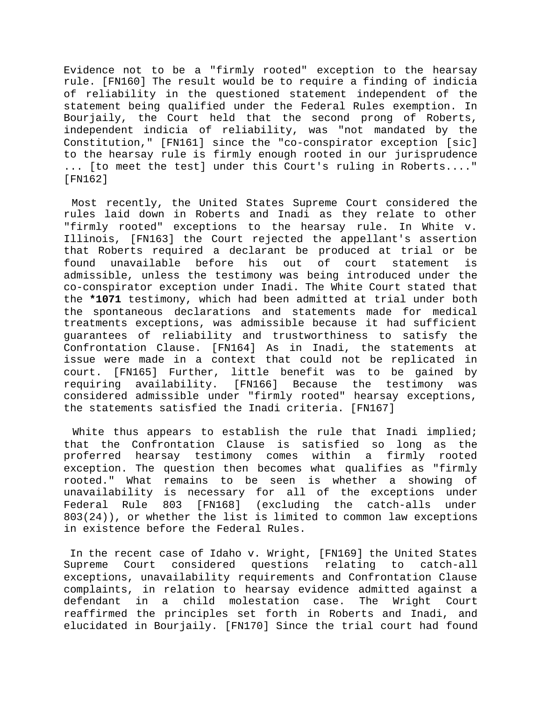Evidence not to be a "firmly rooted" exception to the hearsay rule. [FN160] The result would be to require a finding of indicia of reliability in the questioned statement independent of the statement being qualified under the Federal Rules exemption. In Bourjaily, the Court held that the second prong of Roberts, independent indicia of reliability, was "not mandated by the Constitution," [FN161] since the "co-conspirator exception [sic] to the hearsay rule is firmly enough rooted in our jurisprudence ... [to meet the test] under this Court's ruling in Roberts...." [FN162]

Most recently, the United States Supreme Court considered the rules laid down in Roberts and Inadi as they relate to other "firmly rooted" exceptions to the hearsay rule. In White v. Illinois, [FN163] the Court rejected the appellant's assertion that Roberts required a declarant be produced at trial or be found unavailable before his out of court statement is admissible, unless the testimony was being introduced under the co-conspirator exception under Inadi. The White Court stated that the **\*1071** testimony, which had been admitted at trial under both the spontaneous declarations and statements made for medical treatments exceptions, was admissible because it had sufficient guarantees of reliability and trustworthiness to satisfy the Confrontation Clause. [FN164] As in Inadi, the statements at issue were made in a context that could not be replicated in court. [FN165] Further, little benefit was to be gained by requiring availability. [FN166] Because the testimony was considered admissible under "firmly rooted" hearsay exceptions, the statements satisfied the Inadi criteria. [FN167]

White thus appears to establish the rule that Inadi implied; that the Confrontation Clause is satisfied so long as the proferred hearsay testimony comes within a firmly rooted exception. The question then becomes what qualifies as "firmly rooted." What remains to be seen is whether a showing of unavailability is necessary for all of the exceptions under Federal Rule 803 [FN168] (excluding the catch-alls under 803(24)), or whether the list is limited to common law exceptions in existence before the Federal Rules.

In the recent case of Idaho v. Wright, [FN169] the United States Supreme Court considered questions relating to catch-all exceptions, unavailability requirements and Confrontation Clause complaints, in relation to hearsay evidence admitted against a defendant in a child molestation case. The Wright Court reaffirmed the principles set forth in Roberts and Inadi, and elucidated in Bourjaily. [FN170] Since the trial court had found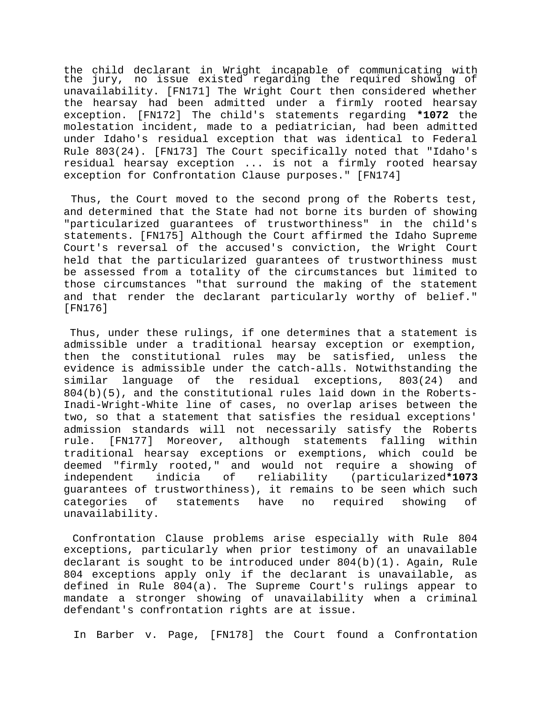the child declarant in Wright incapable of communicating with the jury, no issue existed regarding the required showing of unavailability. [FN171] The Wright Court then considered whether the hearsay had been admitted under a firmly rooted hearsay exception. [FN172] The child's statements regarding **\*1072** the molestation incident, made to a pediatrician, had been admitted under Idaho's residual exception that was identical to Federal Rule 803(24). [FN173] The Court specifically noted that "Idaho's residual hearsay exception ... is not a firmly rooted hearsay exception for Confrontation Clause purposes." [FN174]

Thus, the Court moved to the second prong of the Roberts test, and determined that the State had not borne its burden of showing "particularized guarantees of trustworthiness" in the child's statements. [FN175] Although the Court affirmed the Idaho Supreme Court's reversal of the accused's conviction, the Wright Court held that the particularized guarantees of trustworthiness must be assessed from a totality of the circumstances but limited to those circumstances "that surround the making of the statement and that render the declarant particularly worthy of belief." [FN176]

Thus, under these rulings, if one determines that a statement is admissible under a traditional hearsay exception or exemption, then the constitutional rules may be satisfied, unless the evidence is admissible under the catch-alls. Notwithstanding the similar language of the residual exceptions, 803(24) and 804(b)(5), and the constitutional rules laid down in the Roberts-Inadi-Wright-White line of cases, no overlap arises between the two, so that a statement that satisfies the residual exceptions' admission standards will not necessarily satisfy the Roberts rule. [FN177] Moreover, although statements falling within traditional hearsay exceptions or exemptions, which could be deemed "firmly rooted," and would not require a showing of independent indicia of reliability (particularized**\*1073** guarantees of trustworthiness), it remains to be seen which such categories of statements have no required showing of unavailability.

Confrontation Clause problems arise especially with Rule 804 exceptions, particularly when prior testimony of an unavailable declarant is sought to be introduced under  $804(b)(1)$ . Again, Rule 804 exceptions apply only if the declarant is unavailable, as defined in Rule 804(a). The Supreme Court's rulings appear to mandate a stronger showing of unavailability when a criminal defendant's confrontation rights are at issue.

In Barber v. Page, [FN178] the Court found a Confrontation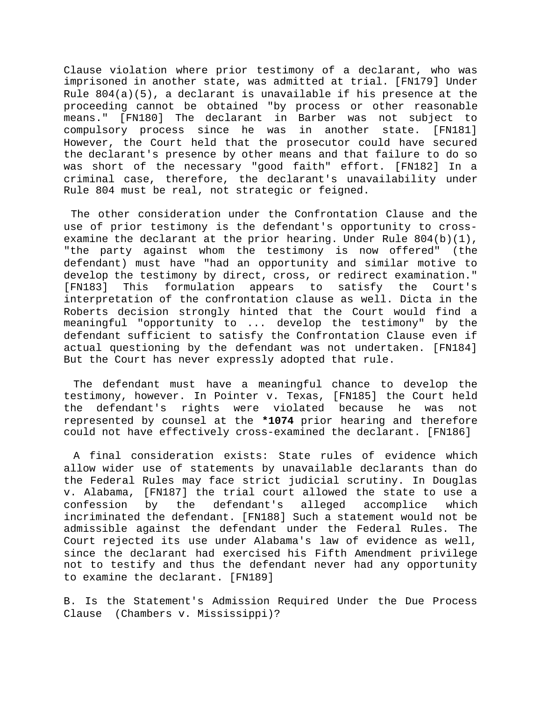Clause violation where prior testimony of a declarant, who was imprisoned in another state, was admitted at trial. [FN179] Under Rule  $804(a)(5)$ , a declarant is unavailable if his presence at the proceeding cannot be obtained "by process or other reasonable means." [FN180] The declarant in Barber was not subject to compulsory process since he was in another state. [FN181] However, the Court held that the prosecutor could have secured the declarant's presence by other means and that failure to do so was short of the necessary "good faith" effort. [FN182] In a criminal case, therefore, the declarant's unavailability under Rule 804 must be real, not strategic or feigned.

The other consideration under the Confrontation Clause and the use of prior testimony is the defendant's opportunity to crossexamine the declarant at the prior hearing. Under Rule  $804(b)(1)$ , "the party against whom the testimony is now offered" (the defendant) must have "had an opportunity and similar motive to develop the testimony by direct, cross, or redirect examination." [FN183] This formulation appears to satisfy the Court's interpretation of the confrontation clause as well. Dicta in the Roberts decision strongly hinted that the Court would find a meaningful "opportunity to ... develop the testimony" by the defendant sufficient to satisfy the Confrontation Clause even if actual questioning by the defendant was not undertaken. [FN184] But the Court has never expressly adopted that rule.

The defendant must have a meaningful chance to develop the testimony, however. In Pointer v. Texas, [FN185] the Court held the defendant's rights were violated because he was not represented by counsel at the **\*1074** prior hearing and therefore could not have effectively cross-examined the declarant. [FN186]

A final consideration exists: State rules of evidence which allow wider use of statements by unavailable declarants than do the Federal Rules may face strict judicial scrutiny. In Douglas v. Alabama, [FN187] the trial court allowed the state to use a confession by the defendant's alleged accomplice which incriminated the defendant. [FN188] Such a statement would not be admissible against the defendant under the Federal Rules. The Court rejected its use under Alabama's law of evidence as well, since the declarant had exercised his Fifth Amendment privilege not to testify and thus the defendant never had any opportunity to examine the declarant. [FN189]

B. Is the Statement's Admission Required Under the Due Process Clause (Chambers v. Mississippi)?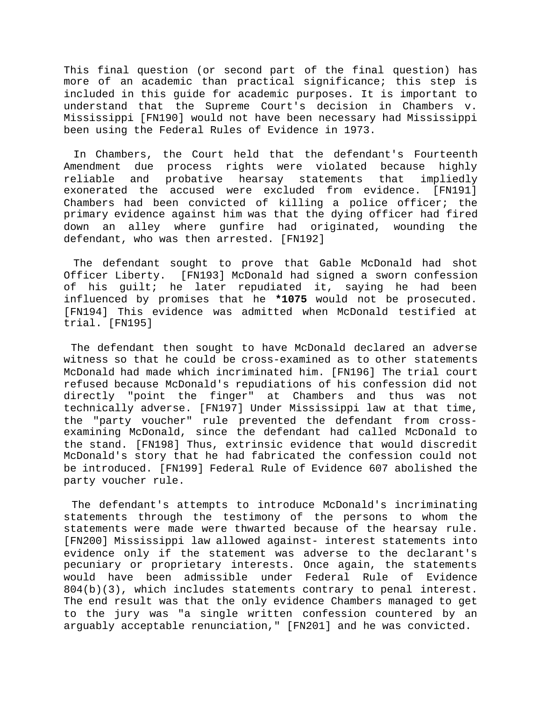This final question (or second part of the final question) has more of an academic than practical significance; this step is included in this guide for academic purposes. It is important to understand that the Supreme Court's decision in Chambers v. Mississippi [FN190] would not have been necessary had Mississippi been using the Federal Rules of Evidence in 1973.

In Chambers, the Court held that the defendant's Fourteenth Amendment due process rights were violated because highly reliable and probative hearsay statements that impliedly exonerated the accused were excluded from evidence. [FN191] Chambers had been convicted of killing a police officer; the primary evidence against him was that the dying officer had fired down an alley where gunfire had originated, wounding the defendant, who was then arrested. [FN192]

The defendant sought to prove that Gable McDonald had shot Officer Liberty. [FN193] McDonald had signed a sworn confession of his guilt; he later repudiated it, saying he had been influenced by promises that he **\*1075** would not be prosecuted. [FN194] This evidence was admitted when McDonald testified at trial. [FN195]

The defendant then sought to have McDonald declared an adverse witness so that he could be cross-examined as to other statements McDonald had made which incriminated him. [FN196] The trial court refused because McDonald's repudiations of his confession did not directly "point the finger" at Chambers and thus was not technically adverse. [FN197] Under Mississippi law at that time, the "party voucher" rule prevented the defendant from crossexamining McDonald, since the defendant had called McDonald to the stand. [FN198] Thus, extrinsic evidence that would discredit McDonald's story that he had fabricated the confession could not be introduced. [FN199] Federal Rule of Evidence 607 abolished the party voucher rule.

The defendant's attempts to introduce McDonald's incriminating statements through the testimony of the persons to whom the statements were made were thwarted because of the hearsay rule. [FN200] Mississippi law allowed against- interest statements into evidence only if the statement was adverse to the declarant's pecuniary or proprietary interests. Once again, the statements would have been admissible under Federal Rule of Evidence 804(b)(3), which includes statements contrary to penal interest. The end result was that the only evidence Chambers managed to get to the jury was "a single written confession countered by an arguably acceptable renunciation," [FN201] and he was convicted.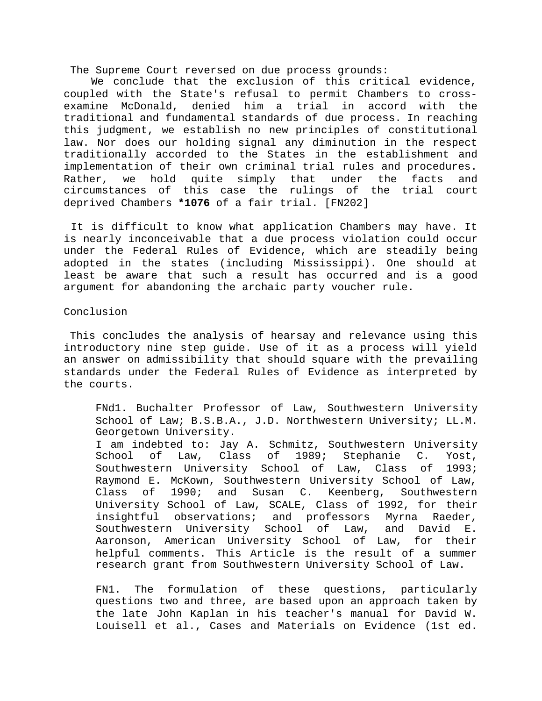The Supreme Court reversed on due process grounds:

We conclude that the exclusion of this critical evidence, coupled with the State's refusal to permit Chambers to crossexamine McDonald, denied him a trial in accord with the traditional and fundamental standards of due process. In reaching this judgment, we establish no new principles of constitutional law. Nor does our holding signal any diminution in the respect traditionally accorded to the States in the establishment and implementation of their own criminal trial rules and procedures. Rather, we hold quite simply that under the facts and circumstances of this case the rulings of the trial court deprived Chambers **\*1076** of a fair trial. [FN202]

It is difficult to know what application Chambers may have. It is nearly inconceivable that a due process violation could occur under the Federal Rules of Evidence, which are steadily being adopted in the states (including Mississippi). One should at least be aware that such a result has occurred and is a good argument for abandoning the archaic party voucher rule.

Conclusion

This concludes the analysis of hearsay and relevance using this introductory nine step guide. Use of it as a process will yield an answer on admissibility that should square with the prevailing standards under the Federal Rules of Evidence as interpreted by the courts.

FNd1. Buchalter Professor of Law, Southwestern University School of Law; B.S.B.A., J.D. Northwestern University; LL.M. Georgetown University.

I am indebted to: Jay A. Schmitz, Southwestern University School of Law, Class of 1989; Stephanie C. Yost, Southwestern University School of Law, Class of 1993; Raymond E. McKown, Southwestern University School of Law, Class of 1990; and Susan C. Keenberg, Southwestern University School of Law, SCALE, Class of 1992, for their insightful observations; and professors Myrna Raeder, Southwestern University School of Law, and David E. Aaronson, American University School of Law, for their helpful comments. This Article is the result of a summer research grant from Southwestern University School of Law.

FN1. The formulation of these questions, particularly questions two and three, are based upon an approach taken by the late John Kaplan in his teacher's manual for David W. Louisell et al., Cases and Materials on Evidence (1st ed.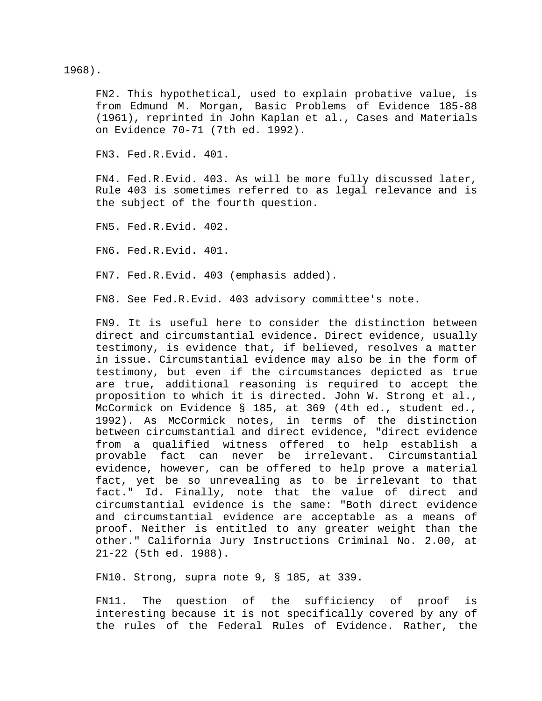1968).

FN2. This hypothetical, used to explain probative value, is from Edmund M. Morgan, Basic Problems of Evidence 185-88 (1961), reprinted in John Kaplan et al., Cases and Materials on Evidence 70-71 (7th ed. 1992).

FN3. Fed.R.Evid. 401.

FN4. Fed.R.Evid. 403. As will be more fully discussed later, Rule 403 is sometimes referred to as legal relevance and is the subject of the fourth question.

FN5. Fed.R.Evid. 402.

FN6. Fed.R.Evid. 401.

FN7. Fed.R.Evid. 403 (emphasis added).

FN8. See Fed.R.Evid. 403 advisory committee's note.

FN9. It is useful here to consider the distinction between direct and circumstantial evidence. Direct evidence, usually testimony, is evidence that, if believed, resolves a matter in issue. Circumstantial evidence may also be in the form of testimony, but even if the circumstances depicted as true are true, additional reasoning is required to accept the proposition to which it is directed. John W. Strong et al., McCormick on Evidence § 185, at 369 (4th ed., student ed., 1992). As McCormick notes, in terms of the distinction between circumstantial and direct evidence, "direct evidence from a qualified witness offered to help establish a provable fact can never be irrelevant. Circumstantial evidence, however, can be offered to help prove a material fact, yet be so unrevealing as to be irrelevant to that fact." Id. Finally, note that the value of direct and circumstantial evidence is the same: "Both direct evidence and circumstantial evidence are acceptable as a means of proof. Neither is entitled to any greater weight than the other." California Jury Instructions Criminal No. 2.00, at 21-22 (5th ed. 1988).

FN10. Strong, supra note 9, § 185, at 339.

FN11. The question of the sufficiency of proof is interesting because it is not specifically covered by any of the rules of the Federal Rules of Evidence. Rather, the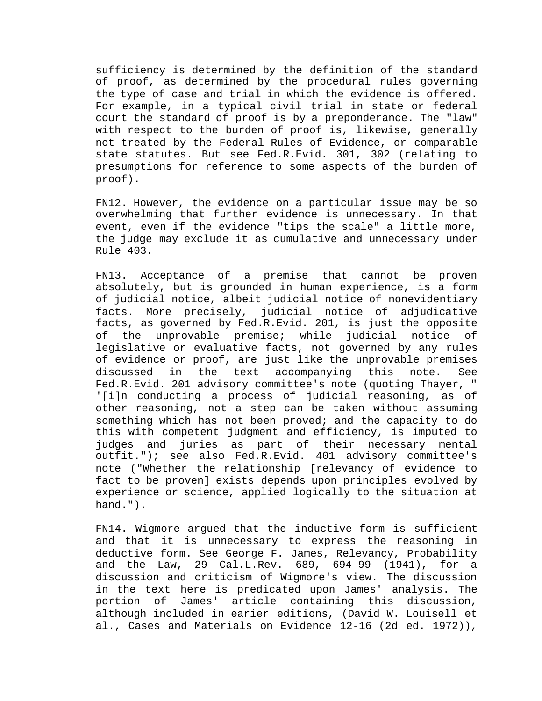sufficiency is determined by the definition of the standard of proof, as determined by the procedural rules governing the type of case and trial in which the evidence is offered. For example, in a typical civil trial in state or federal court the standard of proof is by a preponderance. The "law" with respect to the burden of proof is, likewise, generally not treated by the Federal Rules of Evidence, or comparable state statutes. But see Fed.R.Evid. 301, 302 (relating to presumptions for reference to some aspects of the burden of proof).

FN12. However, the evidence on a particular issue may be so overwhelming that further evidence is unnecessary. In that event, even if the evidence "tips the scale" a little more, the judge may exclude it as cumulative and unnecessary under Rule 403.

FN13. Acceptance of a premise that cannot be proven absolutely, but is grounded in human experience, is a form of judicial notice, albeit judicial notice of nonevidentiary facts. More precisely, judicial notice of adjudicative facts, as governed by Fed.R.Evid. 201, is just the opposite of the unprovable premise; while judicial notice of legislative or evaluative facts, not governed by any rules of evidence or proof, are just like the unprovable premises discussed in the text accompanying this note. See Fed.R.Evid. 201 advisory committee's note (quoting Thayer, " '[i]n conducting a process of judicial reasoning, as of other reasoning, not a step can be taken without assuming something which has not been proved; and the capacity to do this with competent judgment and efficiency, is imputed to judges and juries as part of their necessary mental outfit."); see also Fed.R.Evid. 401 advisory committee's note ("Whether the relationship [relevancy of evidence to fact to be proven] exists depends upon principles evolved by experience or science, applied logically to the situation at hand.").

FN14. Wigmore argued that the inductive form is sufficient and that it is unnecessary to express the reasoning in deductive form. See George F. James, Relevancy, Probability and the Law, 29 Cal.L.Rev. 689, 694-99 (1941), for a discussion and criticism of Wigmore's view. The discussion in the text here is predicated upon James' analysis. The portion of James' article containing this discussion, although included in earier editions, (David W. Louisell et al., Cases and Materials on Evidence 12-16 (2d ed. 1972)),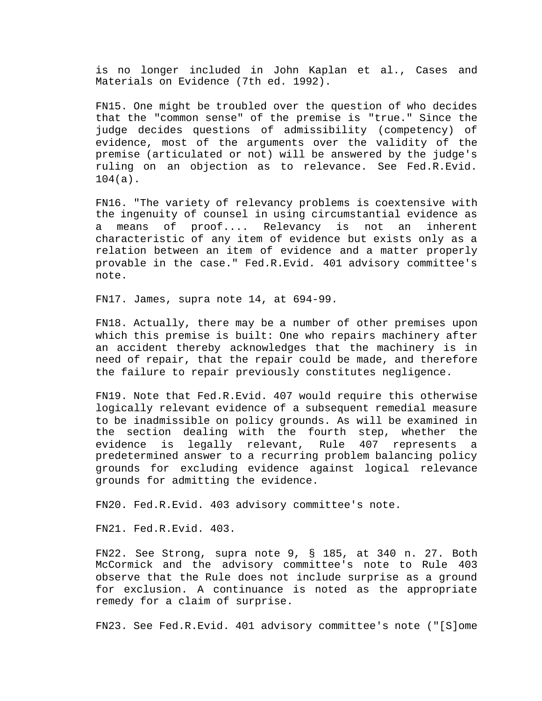is no longer included in John Kaplan et al., Cases and Materials on Evidence (7th ed. 1992).

FN15. One might be troubled over the question of who decides that the "common sense" of the premise is "true." Since the judge decides questions of admissibility (competency) of evidence, most of the arguments over the validity of the premise (articulated or not) will be answered by the judge's ruling on an objection as to relevance. See Fed.R.Evid. 104(a).

FN16. "The variety of relevancy problems is coextensive with the ingenuity of counsel in using circumstantial evidence as a means of proof.... Relevancy is not an inherent characteristic of any item of evidence but exists only as a relation between an item of evidence and a matter properly provable in the case." Fed.R.Evid. 401 advisory committee's note.

FN17. James, supra note 14, at 694-99.

FN18. Actually, there may be a number of other premises upon which this premise is built: One who repairs machinery after an accident thereby acknowledges that the machinery is in need of repair, that the repair could be made, and therefore the failure to repair previously constitutes negligence.

FN19. Note that Fed.R.Evid. 407 would require this otherwise logically relevant evidence of a subsequent remedial measure to be inadmissible on policy grounds. As will be examined in the section dealing with the fourth step, whether the evidence is legally relevant, Rule 407 represents a predetermined answer to a recurring problem balancing policy grounds for excluding evidence against logical relevance grounds for admitting the evidence.

FN20. Fed.R.Evid. 403 advisory committee's note.

FN21. Fed.R.Evid. 403.

FN22. See Strong, supra note 9, § 185, at 340 n. 27. Both McCormick and the advisory committee's note to Rule 403 observe that the Rule does not include surprise as a ground for exclusion. A continuance is noted as the appropriate remedy for a claim of surprise.

FN23. See Fed.R.Evid. 401 advisory committee's note ("[S]ome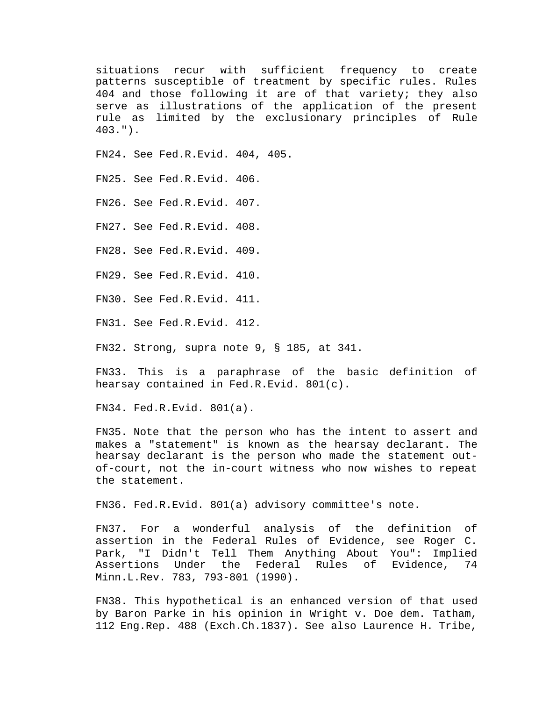situations recur with sufficient frequency to create patterns susceptible of treatment by specific rules. Rules 404 and those following it are of that variety; they also serve as illustrations of the application of the present rule as limited by the exclusionary principles of Rule 403.").

FN24. See Fed.R.Evid. 404, 405.

FN25. See Fed.R.Evid. 406.

FN26. See Fed.R.Evid. 407.

FN27. See Fed.R.Evid. 408.

FN28. See Fed.R.Evid. 409.

FN29. See Fed.R.Evid. 410.

FN30. See Fed.R.Evid. 411.

FN31. See Fed.R.Evid. 412.

FN32. Strong, supra note 9, § 185, at 341.

FN33. This is a paraphrase of the basic definition of hearsay contained in Fed.R.Evid. 801(c).

FN34. Fed.R.Evid. 801(a).

FN35. Note that the person who has the intent to assert and makes a "statement" is known as the hearsay declarant. The hearsay declarant is the person who made the statement outof-court, not the in-court witness who now wishes to repeat the statement.

FN36. Fed.R.Evid. 801(a) advisory committee's note.

FN37. For a wonderful analysis of the definition of assertion in the Federal Rules of Evidence, see Roger C. Park, "I Didn't Tell Them Anything About You": Implied Assertions Under the Federal Rules of Evidence, 74 Minn.L.Rev. 783, 793-801 (1990).

FN38. This hypothetical is an enhanced version of that used by Baron Parke in his opinion in Wright v. Doe dem. Tatham, 112 Eng.Rep. 488 (Exch.Ch.1837). See also Laurence H. Tribe,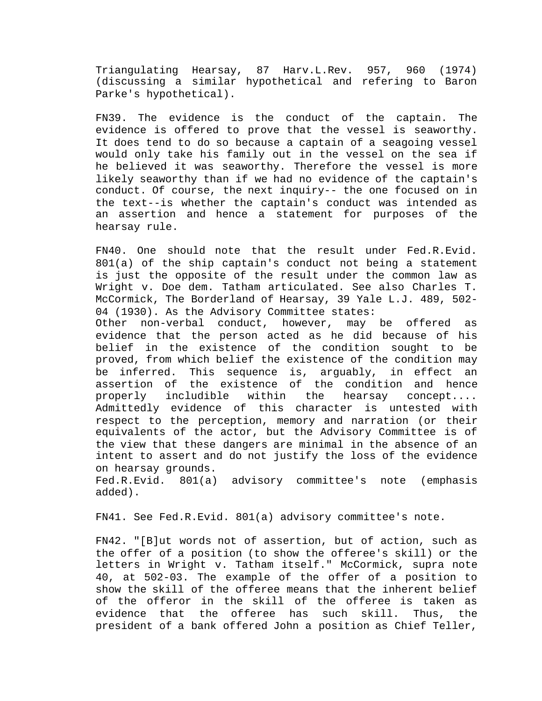Triangulating Hearsay, 87 Harv.L.Rev. 957, 960 (1974) (discussing a similar hypothetical and refering to Baron Parke's hypothetical).

FN39. The evidence is the conduct of the captain. The evidence is offered to prove that the vessel is seaworthy. It does tend to do so because a captain of a seagoing vessel would only take his family out in the vessel on the sea if he believed it was seaworthy. Therefore the vessel is more likely seaworthy than if we had no evidence of the captain's conduct. Of course, the next inquiry-- the one focused on in the text--is whether the captain's conduct was intended as an assertion and hence a statement for purposes of the hearsay rule.

FN40. One should note that the result under Fed.R.Evid. 801(a) of the ship captain's conduct not being a statement is just the opposite of the result under the common law as Wright v. Doe dem. Tatham articulated. See also Charles T. McCormick, The Borderland of Hearsay, 39 Yale L.J. 489, 502- 04 (1930). As the Advisory Committee states:

Other non-verbal conduct, however, may be offered as evidence that the person acted as he did because of his belief in the existence of the condition sought to be proved, from which belief the existence of the condition may be inferred. This sequence is, arguably, in effect an assertion of the existence of the condition and hence properly includible within the hearsay concept.... Admittedly evidence of this character is untested with respect to the perception, memory and narration (or their equivalents of the actor, but the Advisory Committee is of the view that these dangers are minimal in the absence of an intent to assert and do not justify the loss of the evidence on hearsay grounds.

Fed.R.Evid. 801(a) advisory committee's note (emphasis added).

FN41. See Fed.R.Evid. 801(a) advisory committee's note.

FN42. "[B]ut words not of assertion, but of action, such as the offer of a position (to show the offeree's skill) or the letters in Wright v. Tatham itself." McCormick, supra note 40, at 502-03. The example of the offer of a position to show the skill of the offeree means that the inherent belief of the offeror in the skill of the offeree is taken as evidence that the offeree has such skill. Thus, the president of a bank offered John a position as Chief Teller,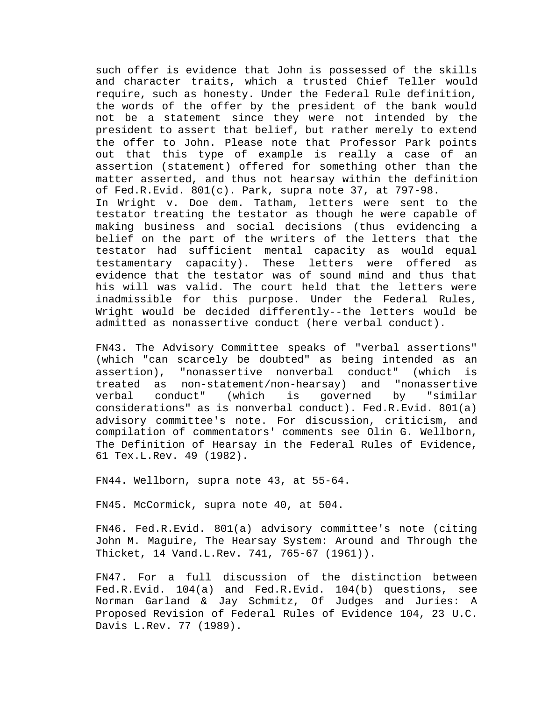such offer is evidence that John is possessed of the skills and character traits, which a trusted Chief Teller would require, such as honesty. Under the Federal Rule definition, the words of the offer by the president of the bank would not be a statement since they were not intended by the president to assert that belief, but rather merely to extend the offer to John. Please note that Professor Park points out that this type of example is really a case of an assertion (statement) offered for something other than the matter asserted, and thus not hearsay within the definition of Fed.R.Evid. 801(c). Park, supra note 37, at 797-98. In Wright v. Doe dem. Tatham, letters were sent to the testator treating the testator as though he were capable of making business and social decisions (thus evidencing a belief on the part of the writers of the letters that the testator had sufficient mental capacity as would equal testamentary capacity). These letters were offered as evidence that the testator was of sound mind and thus that his will was valid. The court held that the letters were inadmissible for this purpose. Under the Federal Rules, Wright would be decided differently--the letters would be admitted as nonassertive conduct (here verbal conduct).

FN43. The Advisory Committee speaks of "verbal assertions" (which "can scarcely be doubted" as being intended as an assertion), "nonassertive nonverbal conduct" (which is treated as non-statement/non-hearsay) and "nonassertive verbal conduct" (which is governed by "similar considerations" as is nonverbal conduct). Fed.R.Evid. 801(a) advisory committee's note. For discussion, criticism, and compilation of commentators' comments see Olin G. Wellborn, The Definition of Hearsay in the Federal Rules of Evidence, 61 Tex.L.Rev. 49 (1982).

FN44. Wellborn, supra note 43, at 55-64.

FN45. McCormick, supra note 40, at 504.

FN46. Fed.R.Evid. 801(a) advisory committee's note (citing John M. Maguire, The Hearsay System: Around and Through the Thicket, 14 Vand.L.Rev. 741, 765-67 (1961)).

FN47. For a full discussion of the distinction between Fed.R.Evid. 104(a) and Fed.R.Evid. 104(b) questions, see Norman Garland & Jay Schmitz, Of Judges and Juries: A Proposed Revision of Federal Rules of Evidence 104, 23 U.C. Davis L.Rev. 77 (1989).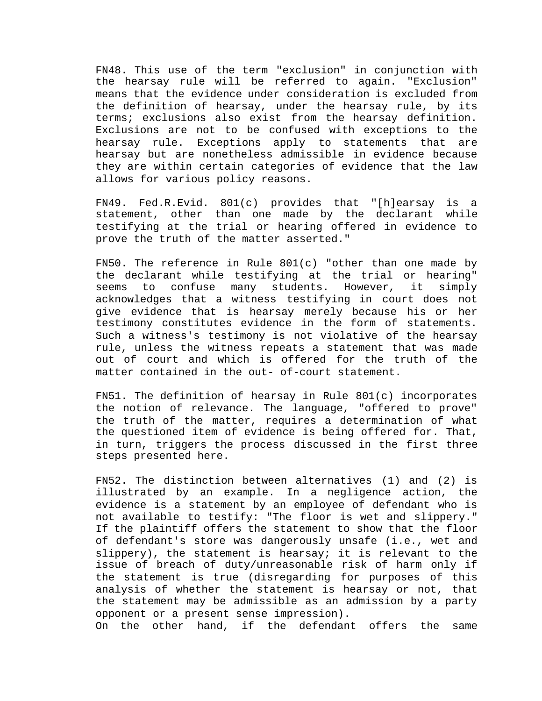FN48. This use of the term "exclusion" in conjunction with the hearsay rule will be referred to again. "Exclusion" means that the evidence under consideration is excluded from the definition of hearsay, under the hearsay rule, by its terms; exclusions also exist from the hearsay definition. Exclusions are not to be confused with exceptions to the hearsay rule. Exceptions apply to statements that are hearsay but are nonetheless admissible in evidence because they are within certain categories of evidence that the law allows for various policy reasons.

FN49. Fed.R.Evid. 801(c) provides that "[h]earsay is a statement, other than one made by the declarant while testifying at the trial or hearing offered in evidence to prove the truth of the matter asserted."

FN50. The reference in Rule 801(c) "other than one made by the declarant while testifying at the trial or hearing" seems to confuse many students. However, it simply acknowledges that a witness testifying in court does not give evidence that is hearsay merely because his or her testimony constitutes evidence in the form of statements. Such a witness's testimony is not violative of the hearsay rule, unless the witness repeats a statement that was made out of court and which is offered for the truth of the matter contained in the out- of-court statement.

FN51. The definition of hearsay in Rule 801(c) incorporates the notion of relevance. The language, "offered to prove" the truth of the matter, requires a determination of what the questioned item of evidence is being offered for. That, in turn, triggers the process discussed in the first three steps presented here.

FN52. The distinction between alternatives (1) and (2) is illustrated by an example. In a negligence action, the evidence is a statement by an employee of defendant who is not available to testify: "The floor is wet and slippery." If the plaintiff offers the statement to show that the floor of defendant's store was dangerously unsafe (i.e., wet and slippery), the statement is hearsay; it is relevant to the issue of breach of duty/unreasonable risk of harm only if the statement is true (disregarding for purposes of this analysis of whether the statement is hearsay or not, that the statement may be admissible as an admission by a party opponent or a present sense impression).

On the other hand, if the defendant offers the same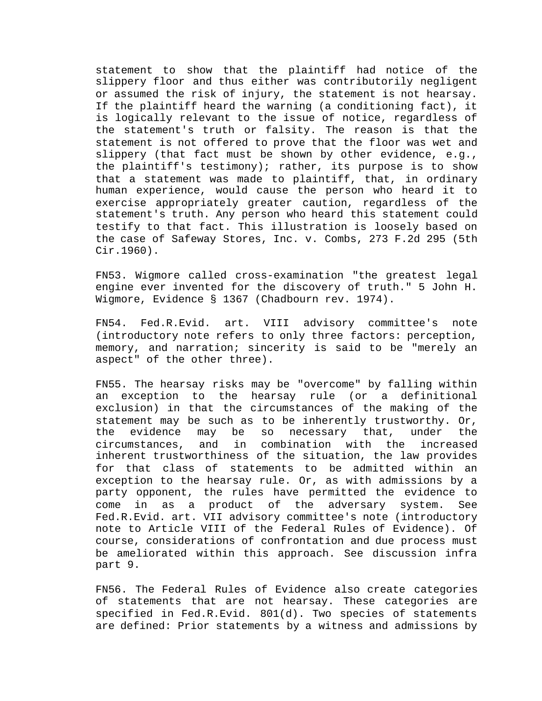statement to show that the plaintiff had notice of the slippery floor and thus either was contributorily negligent or assumed the risk of injury, the statement is not hearsay. If the plaintiff heard the warning (a conditioning fact), it is logically relevant to the issue of notice, regardless of the statement's truth or falsity. The reason is that the statement is not offered to prove that the floor was wet and slippery (that fact must be shown by other evidence, e.g., the plaintiff's testimony); rather, its purpose is to show that a statement was made to plaintiff, that, in ordinary human experience, would cause the person who heard it to exercise appropriately greater caution, regardless of the statement's truth. Any person who heard this statement could testify to that fact. This illustration is loosely based on the case of Safeway Stores, Inc. v. Combs, 273 F.2d 295 (5th Cir.1960).

FN53. Wigmore called cross-examination "the greatest legal engine ever invented for the discovery of truth." 5 John H. Wigmore, Evidence § 1367 (Chadbourn rev. 1974).

FN54. Fed.R.Evid. art. VIII advisory committee's note (introductory note refers to only three factors: perception, memory, and narration; sincerity is said to be "merely an aspect" of the other three).

FN55. The hearsay risks may be "overcome" by falling within an exception to the hearsay rule (or a definitional exclusion) in that the circumstances of the making of the statement may be such as to be inherently trustworthy. Or, the evidence may be so necessary that, under the circumstances, and in combination with the increased inherent trustworthiness of the situation, the law provides for that class of statements to be admitted within an exception to the hearsay rule. Or, as with admissions by a party opponent, the rules have permitted the evidence to come in as a product of the adversary system. See Fed.R.Evid. art. VII advisory committee's note (introductory note to Article VIII of the Federal Rules of Evidence). Of course, considerations of confrontation and due process must be ameliorated within this approach. See discussion infra part 9.

FN56. The Federal Rules of Evidence also create categories of statements that are not hearsay. These categories are specified in Fed.R.Evid. 801(d). Two species of statements are defined: Prior statements by a witness and admissions by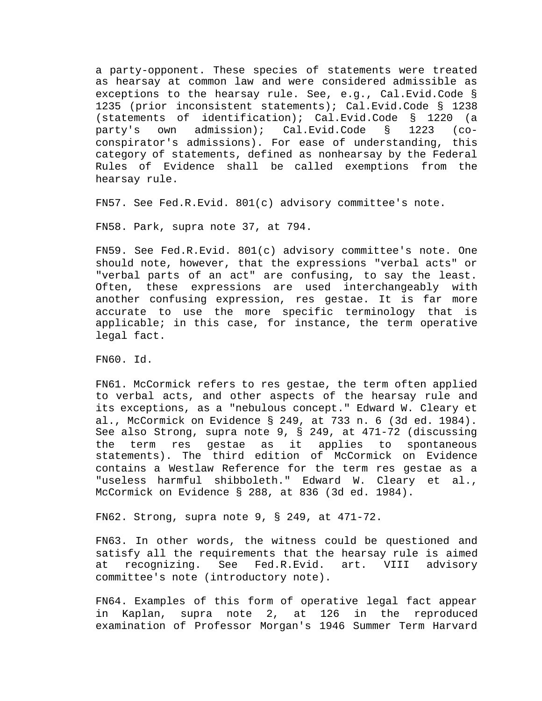a party-opponent. These species of statements were treated as hearsay at common law and were considered admissible as exceptions to the hearsay rule. See, e.g., Cal.Evid.Code § 1235 (prior inconsistent statements); Cal.Evid.Code § 1238 (statements of identification); Cal.Evid.Code § 1220 (a party's own admission); Cal.Evid.Code § 1223 (coconspirator's admissions). For ease of understanding, this category of statements, defined as nonhearsay by the Federal Rules of Evidence shall be called exemptions from the hearsay rule.

FN57. See Fed.R.Evid. 801(c) advisory committee's note.

FN58. Park, supra note 37, at 794.

FN59. See Fed.R.Evid. 801(c) advisory committee's note. One should note, however, that the expressions "verbal acts" or "verbal parts of an act" are confusing, to say the least. Often, these expressions are used interchangeably with another confusing expression, res gestae. It is far more accurate to use the more specific terminology that is applicable; in this case, for instance, the term operative legal fact.

FN60. Id.

FN61. McCormick refers to res gestae, the term often applied to verbal acts, and other aspects of the hearsay rule and its exceptions, as a "nebulous concept." Edward W. Cleary et al., McCormick on Evidence § 249, at 733 n. 6 (3d ed. 1984). See also Strong, supra note 9, § 249, at 471-72 (discussing the term res gestae as it applies to spontaneous statements). The third edition of McCormick on Evidence contains a Westlaw Reference for the term res gestae as a "useless harmful shibboleth." Edward W. Cleary et al., McCormick on Evidence § 288, at 836 (3d ed. 1984).

FN62. Strong, supra note 9, § 249, at 471-72.

FN63. In other words, the witness could be questioned and satisfy all the requirements that the hearsay rule is aimed at recognizing. See Fed.R.Evid. art. VIII advisory committee's note (introductory note).

FN64. Examples of this form of operative legal fact appear in Kaplan, supra note 2, at 126 in the reproduced examination of Professor Morgan's 1946 Summer Term Harvard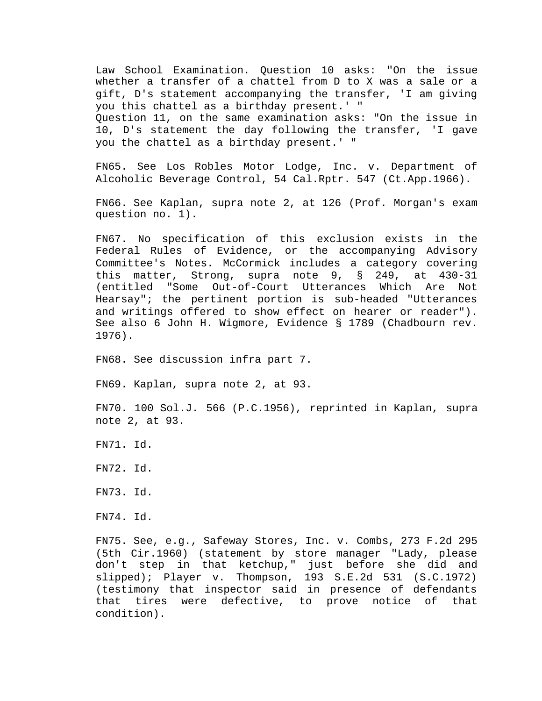Law School Examination. Question 10 asks: "On the issue whether a transfer of a chattel from D to X was a sale or a gift, D's statement accompanying the transfer, 'I am giving you this chattel as a birthday present.' " Question 11, on the same examination asks: "On the issue in 10, D's statement the day following the transfer, 'I gave you the chattel as a birthday present.' "

FN65. See Los Robles Motor Lodge, Inc. v. Department of Alcoholic Beverage Control, 54 Cal.Rptr. 547 (Ct.App.1966).

FN66. See Kaplan, supra note 2, at 126 (Prof. Morgan's exam question no. 1).

FN67. No specification of this exclusion exists in the Federal Rules of Evidence, or the accompanying Advisory Committee's Notes. McCormick includes a category covering this matter, Strong, supra note 9, § 249, at 430-31 (entitled "Some Out-of-Court Utterances Which Are Not Hearsay"; the pertinent portion is sub-headed "Utterances and writings offered to show effect on hearer or reader"). See also 6 John H. Wigmore, Evidence § 1789 (Chadbourn rev. 1976).

FN68. See discussion infra part 7.

FN69. Kaplan, supra note 2, at 93.

FN70. 100 Sol.J. 566 (P.C.1956), reprinted in Kaplan, supra note 2, at 93.

FN71. Id.

FN72. Id.

FN73. Id.

FN74. Id.

FN75. See, e.g., Safeway Stores, Inc. v. Combs, 273 F.2d 295 (5th Cir.1960) (statement by store manager "Lady, please don't step in that ketchup," just before she did and slipped); Player v. Thompson, 193 S.E.2d 531 (S.C.1972) (testimony that inspector said in presence of defendants that tires were defective, to prove notice of that condition).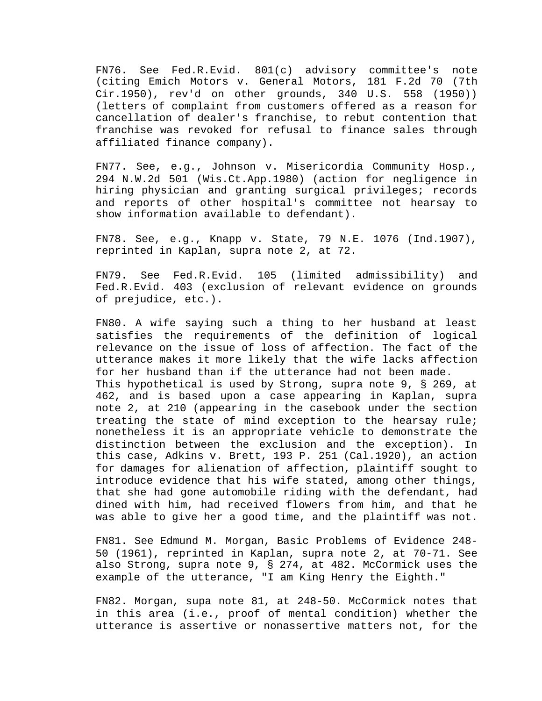FN76. See Fed.R.Evid. 801(c) advisory committee's note (citing Emich Motors v. General Motors, 181 F.2d 70 (7th Cir.1950), rev'd on other grounds, 340 U.S. 558 (1950)) (letters of complaint from customers offered as a reason for cancellation of dealer's franchise, to rebut contention that franchise was revoked for refusal to finance sales through affiliated finance company).

FN77. See, e.g., Johnson v. Misericordia Community Hosp., 294 N.W.2d 501 (Wis.Ct.App.1980) (action for negligence in hiring physician and granting surgical privileges; records and reports of other hospital's committee not hearsay to show information available to defendant).

FN78. See, e.g., Knapp v. State, 79 N.E. 1076 (Ind.1907), reprinted in Kaplan, supra note 2, at 72.

FN79. See Fed.R.Evid. 105 (limited admissibility) and Fed.R.Evid. 403 (exclusion of relevant evidence on grounds of prejudice, etc.).

FN80. A wife saying such a thing to her husband at least satisfies the requirements of the definition of logical relevance on the issue of loss of affection. The fact of the utterance makes it more likely that the wife lacks affection for her husband than if the utterance had not been made. This hypothetical is used by Strong, supra note 9, § 269, at 462, and is based upon a case appearing in Kaplan, supra note 2, at 210 (appearing in the casebook under the section treating the state of mind exception to the hearsay rule; nonetheless it is an appropriate vehicle to demonstrate the distinction between the exclusion and the exception). In this case, Adkins v. Brett, 193 P. 251 (Cal.1920), an action for damages for alienation of affection, plaintiff sought to introduce evidence that his wife stated, among other things, that she had gone automobile riding with the defendant, had dined with him, had received flowers from him, and that he was able to give her a good time, and the plaintiff was not.

FN81. See Edmund M. Morgan, Basic Problems of Evidence 248- 50 (1961), reprinted in Kaplan, supra note 2, at 70-71. See also Strong, supra note 9, § 274, at 482. McCormick uses the example of the utterance, "I am King Henry the Eighth."

FN82. Morgan, supa note 81, at 248-50. McCormick notes that in this area (i.e., proof of mental condition) whether the utterance is assertive or nonassertive matters not, for the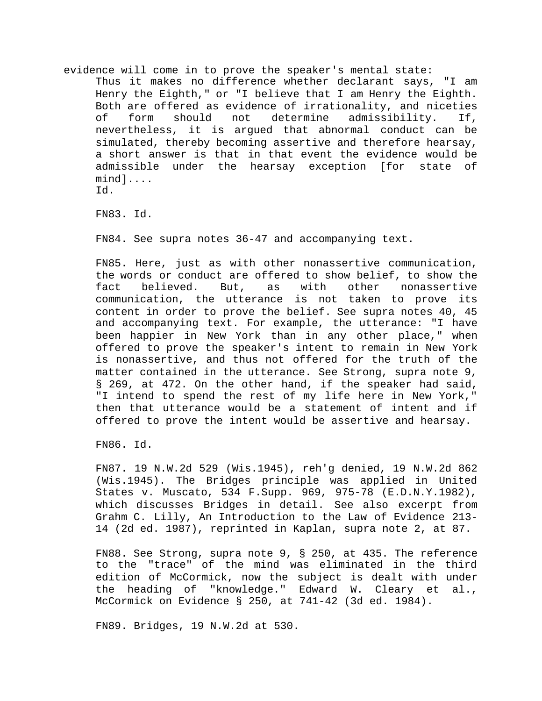evidence will come in to prove the speaker's mental state: Thus it makes no difference whether declarant says, "I am Henry the Eighth," or "I believe that I am Henry the Eighth. Both are offered as evidence of irrationality, and niceties of form should not determine admissibility. If, nevertheless, it is argued that abnormal conduct can be simulated, thereby becoming assertive and therefore hearsay, a short answer is that in that event the evidence would be admissible under the hearsay exception [for state of mind].... Id.

FN83. Id.

FN84. See supra notes 36-47 and accompanying text.

FN85. Here, just as with other nonassertive communication, the words or conduct are offered to show belief, to show the fact believed. But, as with other nonassertive communication, the utterance is not taken to prove its content in order to prove the belief. See supra notes 40, 45 and accompanying text. For example, the utterance: "I have been happier in New York than in any other place," when offered to prove the speaker's intent to remain in New York is nonassertive, and thus not offered for the truth of the matter contained in the utterance. See Strong, supra note 9, § 269, at 472. On the other hand, if the speaker had said, "I intend to spend the rest of my life here in New York," then that utterance would be a statement of intent and if offered to prove the intent would be assertive and hearsay.

FN86. Id.

FN87. 19 N.W.2d 529 (Wis.1945), reh'g denied, 19 N.W.2d 862 (Wis.1945). The Bridges principle was applied in United States v. Muscato, 534 F.Supp. 969, 975-78 (E.D.N.Y.1982), which discusses Bridges in detail. See also excerpt from Grahm C. Lilly, An Introduction to the Law of Evidence 213- 14 (2d ed. 1987), reprinted in Kaplan, supra note 2, at 87.

FN88. See Strong, supra note 9, § 250, at 435. The reference to the "trace" of the mind was eliminated in the third edition of McCormick, now the subject is dealt with under the heading of "knowledge." Edward W. Cleary et al., McCormick on Evidence § 250, at 741-42 (3d ed. 1984).

FN89. Bridges, 19 N.W.2d at 530.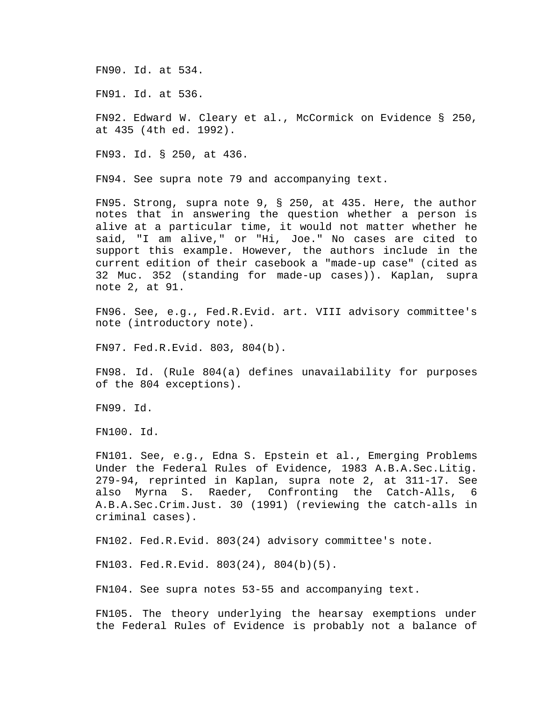FN90. Id. at 534.

FN91. Id. at 536.

FN92. Edward W. Cleary et al., McCormick on Evidence § 250, at 435 (4th ed. 1992).

FN93. Id. § 250, at 436.

FN94. See supra note 79 and accompanying text.

FN95. Strong, supra note 9, § 250, at 435. Here, the author notes that in answering the question whether a person is alive at a particular time, it would not matter whether he said, "I am alive," or "Hi, Joe." No cases are cited to support this example. However, the authors include in the current edition of their casebook a "made-up case" (cited as 32 Muc. 352 (standing for made-up cases)). Kaplan, supra note 2, at 91.

FN96. See, e.g., Fed.R.Evid. art. VIII advisory committee's note (introductory note).

FN97. Fed.R.Evid. 803, 804(b).

FN98. Id. (Rule 804(a) defines unavailability for purposes of the 804 exceptions).

FN99. Id.

FN100. Id.

FN101. See, e.g., Edna S. Epstein et al., Emerging Problems Under the Federal Rules of Evidence, 1983 A.B.A.Sec.Litig. 279-94, reprinted in Kaplan, supra note 2, at 311-17. See also Myrna S. Raeder, Confronting the Catch-Alls, 6 A.B.A.Sec.Crim.Just. 30 (1991) (reviewing the catch-alls in criminal cases).

FN102. Fed.R.Evid. 803(24) advisory committee's note.

FN103. Fed.R.Evid. 803(24), 804(b)(5).

FN104. See supra notes 53-55 and accompanying text.

FN105. The theory underlying the hearsay exemptions under the Federal Rules of Evidence is probably not a balance of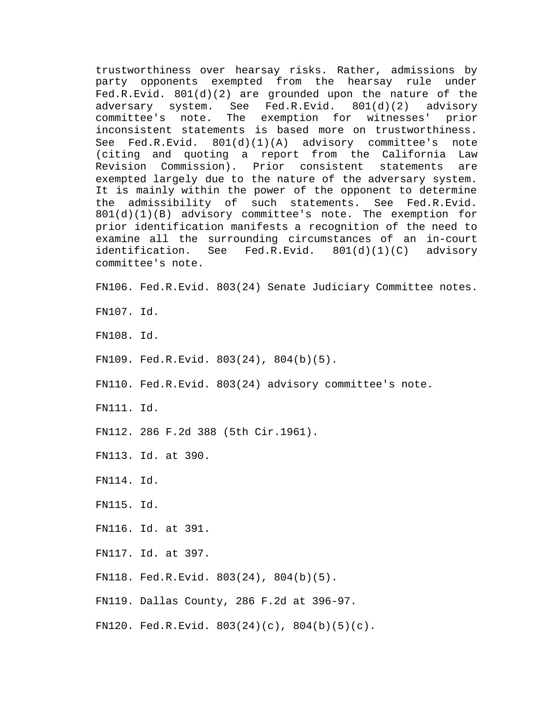trustworthiness over hearsay risks. Rather, admissions by party opponents exempted from the hearsay rule under Fed.R.Evid. 801(d)(2) are grounded upon the nature of the adversary system. See Fed.R.Evid. 801(d)(2) advisory committee's note. The exemption for witnesses' prior inconsistent statements is based more on trustworthiness. See Fed.R.Evid. 801(d)(1)(A) advisory committee's note (citing and quoting a report from the California Law Revision Commission). Prior consistent statements are exempted largely due to the nature of the adversary system. It is mainly within the power of the opponent to determine the admissibility of such statements. See Fed.R.Evid. 801(d)(1)(B) advisory committee's note. The exemption for prior identification manifests a recognition of the need to examine all the surrounding circumstances of an in-court identification. See Fed.R.Evid. 801(d)(1)(C) advisory committee's note.

FN106. Fed.R.Evid. 803(24) Senate Judiciary Committee notes.

FN107. Id.

FN108. Id.

FN109. Fed.R.Evid. 803(24), 804(b)(5).

FN110. Fed.R.Evid. 803(24) advisory committee's note.

FN111. Id.

FN112. 286 F.2d 388 (5th Cir.1961).

FN113. Id. at 390.

FN114. Id.

FN115. Id.

FN116. Id. at 391.

FN117. Id. at 397.

FN118. Fed.R.Evid. 803(24), 804(b)(5).

FN119. Dallas County, 286 F.2d at 396-97.

FN120. Fed.R.Evid. 803(24)(c), 804(b)(5)(c).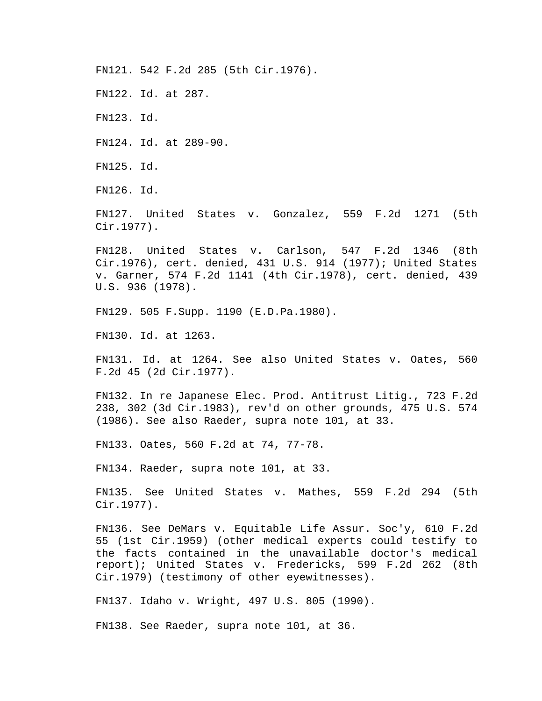FN121. 542 F.2d 285 (5th Cir.1976).

FN122. Id. at 287.

FN123. Id.

FN124. Id. at 289-90.

FN125. Id.

FN126. Id.

FN127. United States v. Gonzalez, 559 F.2d 1271 (5th Cir.1977).

FN128. United States v. Carlson, 547 F.2d 1346 (8th Cir.1976), cert. denied, 431 U.S. 914 (1977); United States v. Garner, 574 F.2d 1141 (4th Cir.1978), cert. denied, 439 U.S. 936 (1978).

FN129. 505 F.Supp. 1190 (E.D.Pa.1980).

FN130. Id. at 1263.

FN131. Id. at 1264. See also United States v. Oates, 560 F.2d 45 (2d Cir.1977).

FN132. In re Japanese Elec. Prod. Antitrust Litig., 723 F.2d 238, 302 (3d Cir.1983), rev'd on other grounds, 475 U.S. 574 (1986). See also Raeder, supra note 101, at 33.

FN133. Oates, 560 F.2d at 74, 77-78.

FN134. Raeder, supra note 101, at 33.

FN135. See United States v. Mathes, 559 F.2d 294 (5th Cir.1977).

FN136. See DeMars v. Equitable Life Assur. Soc'y, 610 F.2d 55 (1st Cir.1959) (other medical experts could testify to the facts contained in the unavailable doctor's medical report); United States v. Fredericks, 599 F.2d 262 (8th Cir.1979) (testimony of other eyewitnesses).

FN137. Idaho v. Wright, 497 U.S. 805 (1990).

FN138. See Raeder, supra note 101, at 36.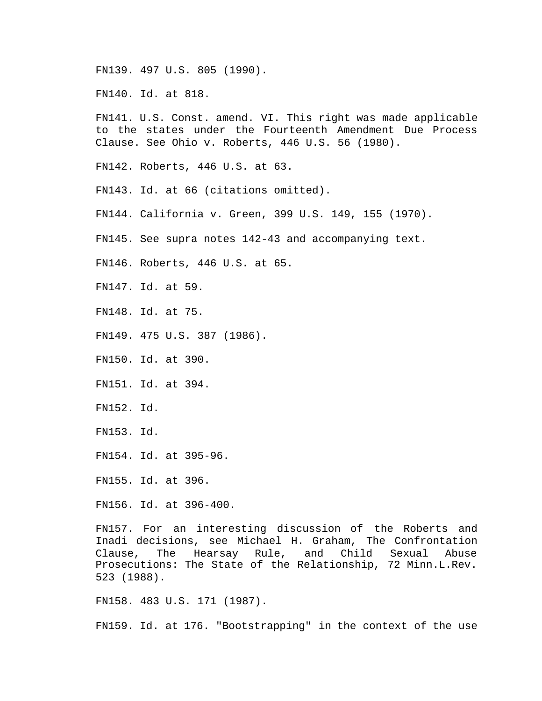FN139. 497 U.S. 805 (1990).

FN140. Id. at 818.

FN141. U.S. Const. amend. VI. This right was made applicable to the states under the Fourteenth Amendment Due Process Clause. See Ohio v. Roberts, 446 U.S. 56 (1980).

FN142. Roberts, 446 U.S. at 63.

FN143. Id. at 66 (citations omitted).

FN144. California v. Green, 399 U.S. 149, 155 (1970).

FN145. See supra notes 142-43 and accompanying text.

FN146. Roberts, 446 U.S. at 65.

FN147. Id. at 59.

FN148. Id. at 75.

FN149. 475 U.S. 387 (1986).

FN150. Id. at 390.

FN151. Id. at 394.

FN152. Id.

FN153. Id.

FN154. Id. at 395-96.

FN155. Id. at 396.

FN156. Id. at 396-400.

FN157. For an interesting discussion of the Roberts and Inadi decisions, see Michael H. Graham, The Confrontation Clause, The Hearsay Rule, and Child Sexual Abuse Prosecutions: The State of the Relationship, 72 Minn.L.Rev. 523 (1988).

FN158. 483 U.S. 171 (1987).

FN159. Id. at 176. "Bootstrapping" in the context of the use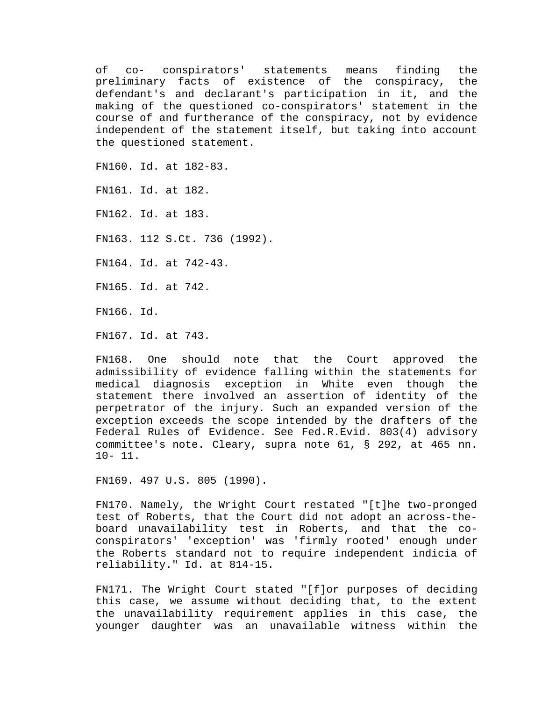of co- conspirators' statements means finding the preliminary facts of existence of the conspiracy, the defendant's and declarant's participation in it, and the making of the questioned co-conspirators' statement in the course of and furtherance of the conspiracy, not by evidence independent of the statement itself, but taking into account the questioned statement.

FN160. Id. at 182-83.

FN161. Id. at 182.

FN162. Id. at 183.

FN163. 112 S.Ct. 736 (1992).

FN164. Id. at 742-43.

FN165. Id. at 742.

FN166. Id.

FN167. Id. at 743.

FN168. One should note that the Court approved the admissibility of evidence falling within the statements for medical diagnosis exception in White even though the statement there involved an assertion of identity of the perpetrator of the injury. Such an expanded version of the exception exceeds the scope intended by the drafters of the Federal Rules of Evidence. See Fed.R.Evid. 803(4) advisory committee's note. Cleary, supra note 61, § 292, at 465 nn.  $10 - 11$ .

FN169. 497 U.S. 805 (1990).

FN170. Namely, the Wright Court restated "[t]he two-pronged test of Roberts, that the Court did not adopt an across-theboard unavailability test in Roberts, and that the coconspirators' 'exception' was 'firmly rooted' enough under the Roberts standard not to require independent indicia of reliability." Id. at 814-15.

FN171. The Wright Court stated "[f]or purposes of deciding this case, we assume without deciding that, to the extent the unavailability requirement applies in this case, the younger daughter was an unavailable witness within the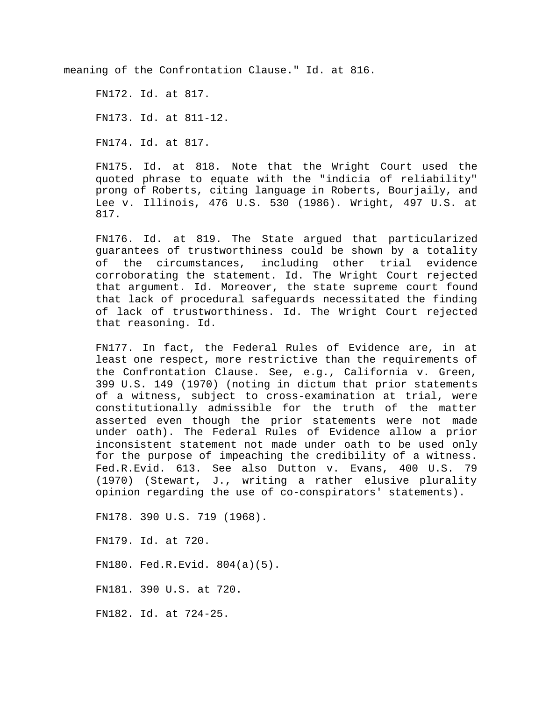meaning of the Confrontation Clause." Id. at 816.

FN172. Id. at 817.

FN173. Id. at 811-12.

FN174. Id. at 817.

FN175. Id. at 818. Note that the Wright Court used the quoted phrase to equate with the "indicia of reliability" prong of Roberts, citing language in Roberts, Bourjaily, and Lee v. Illinois, 476 U.S. 530 (1986). Wright, 497 U.S. at 817.

FN176. Id. at 819. The State argued that particularized guarantees of trustworthiness could be shown by a totality of the circumstances, including other trial evidence corroborating the statement. Id. The Wright Court rejected that argument. Id. Moreover, the state supreme court found that lack of procedural safeguards necessitated the finding of lack of trustworthiness. Id. The Wright Court rejected that reasoning. Id.

FN177. In fact, the Federal Rules of Evidence are, in at least one respect, more restrictive than the requirements of the Confrontation Clause. See, e.g., California v. Green, 399 U.S. 149 (1970) (noting in dictum that prior statements of a witness, subject to cross-examination at trial, were constitutionally admissible for the truth of the matter asserted even though the prior statements were not made under oath). The Federal Rules of Evidence allow a prior inconsistent statement not made under oath to be used only for the purpose of impeaching the credibility of a witness. Fed.R.Evid. 613. See also Dutton v. Evans, 400 U.S. 79 (1970) (Stewart, J., writing a rather elusive plurality opinion regarding the use of co-conspirators' statements).

FN178. 390 U.S. 719 (1968).

FN179. Id. at 720.

FN180. Fed.R.Evid. 804(a)(5).

FN181. 390 U.S. at 720.

FN182. Id. at 724-25.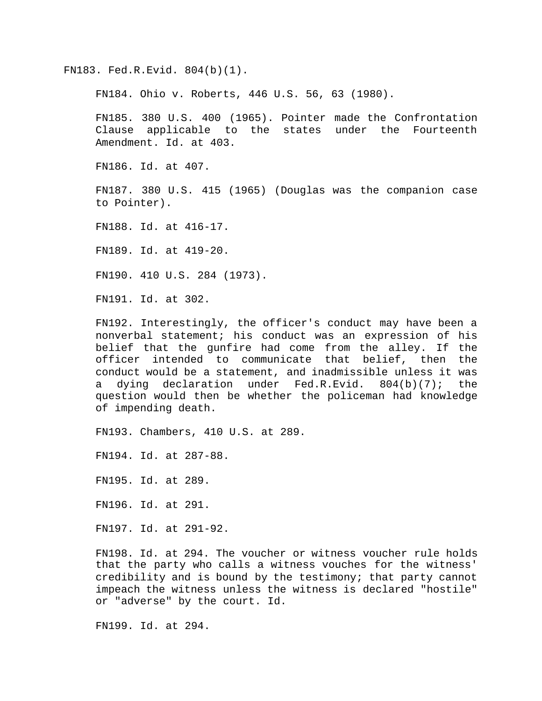FN183. Fed.R.Evid. 804(b)(1).

FN184. Ohio v. Roberts, 446 U.S. 56, 63 (1980).

FN185. 380 U.S. 400 (1965). Pointer made the Confrontation Clause applicable to the states under the Fourteenth Amendment. Id. at 403.

FN186. Id. at 407.

FN187. 380 U.S. 415 (1965) (Douglas was the companion case to Pointer).

FN188. Id. at 416-17.

FN189. Id. at 419-20.

FN190. 410 U.S. 284 (1973).

FN191. Id. at 302.

FN192. Interestingly, the officer's conduct may have been a nonverbal statement; his conduct was an expression of his belief that the gunfire had come from the alley. If the officer intended to communicate that belief, then the conduct would be a statement, and inadmissible unless it was a dying declaration under Fed.R.Evid. 804(b)(7); the question would then be whether the policeman had knowledge of impending death.

FN193. Chambers, 410 U.S. at 289.

FN194. Id. at 287-88.

FN195. Id. at 289.

FN196. Id. at 291.

FN197. Id. at 291-92.

FN198. Id. at 294. The voucher or witness voucher rule holds that the party who calls a witness vouches for the witness' credibility and is bound by the testimony; that party cannot impeach the witness unless the witness is declared "hostile" or "adverse" by the court. Id.

FN199. Id. at 294.